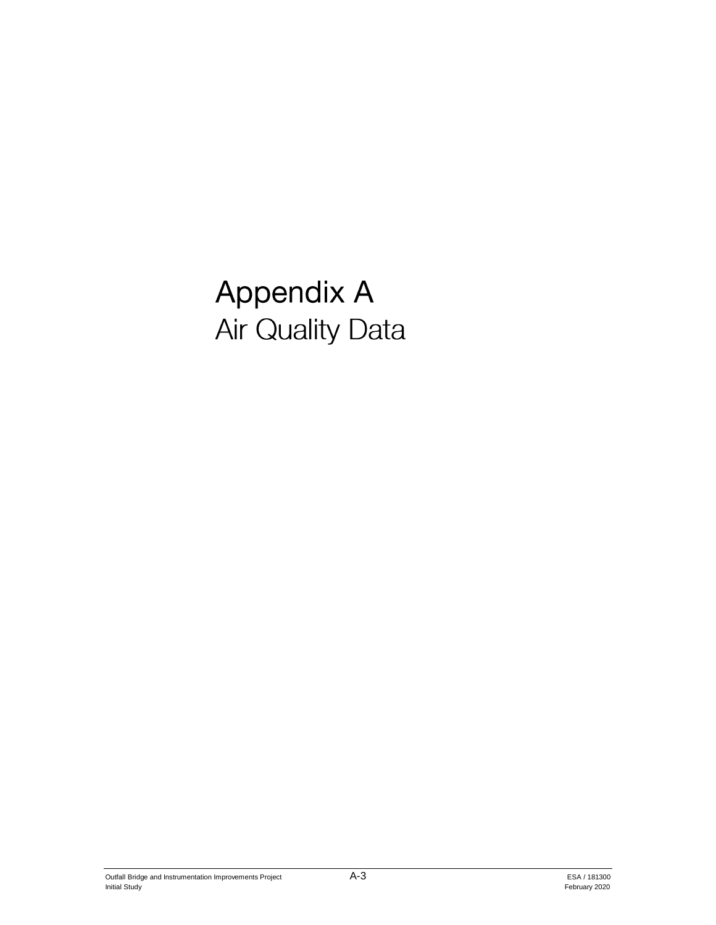# **Appendix A Air Quality Data**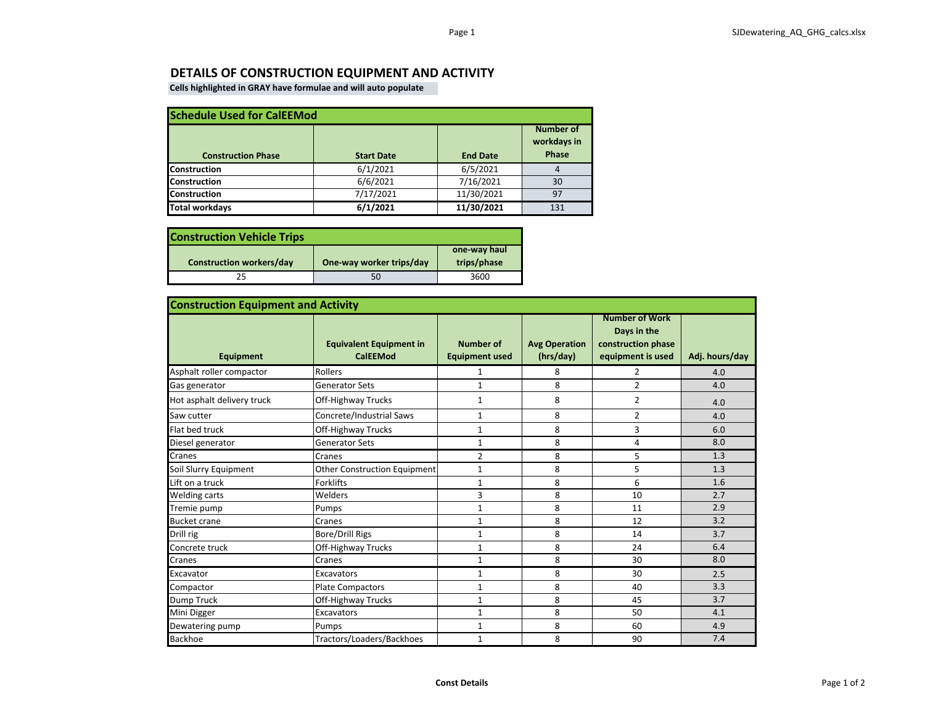#### **DETAILS OF CONSTRUCTION EQUIPMENT AND ACTIVITY**

**Cells highlighted in GRAY have formulae and will auto populate**

| <b>Schedule Used for CalEEMod</b> |                   |                 |                                   |  |  |
|-----------------------------------|-------------------|-----------------|-----------------------------------|--|--|
| <b>Construction Phase</b>         | <b>Start Date</b> | <b>End Date</b> | Number of<br>workdays in<br>Phase |  |  |
| <b>Construction</b>               | 6/1/2021          | 6/5/2021        | 4                                 |  |  |
| <b>Construction</b>               | 6/6/2021          | 7/16/2021       | 30                                |  |  |
| <b>Construction</b>               | 7/17/2021         | 11/30/2021      | 97                                |  |  |
| <b>Total workdays</b>             | 6/1/2021          | 11/30/2021      | 131                               |  |  |

| <b>Construction Vehicle Trips</b> |                          |                             |
|-----------------------------------|--------------------------|-----------------------------|
| <b>Construction workers/day</b>   | One-way worker trips/day | one-way haul<br>trips/phase |
|                                   | 50                       | 3600                        |

| <b>Construction Equipment and Activity</b> |                                                   |                                           |                                   |                                                                                 |                |  |
|--------------------------------------------|---------------------------------------------------|-------------------------------------------|-----------------------------------|---------------------------------------------------------------------------------|----------------|--|
| <b>Equipment</b>                           | <b>Equivalent Equipment in</b><br><b>CalEEMod</b> | <b>Number of</b><br><b>Equipment used</b> | <b>Avg Operation</b><br>(hrs/day) | <b>Number of Work</b><br>Days in the<br>construction phase<br>equipment is used | Adj. hours/day |  |
| Asphalt roller compactor                   | Rollers                                           | 1                                         | 8                                 | 2                                                                               | 4.0            |  |
| Gas generator                              | <b>Generator Sets</b>                             | $\mathbf{1}$                              | 8                                 | $\overline{2}$                                                                  | 4.0            |  |
| Hot asphalt delivery truck                 | Off-Highway Trucks                                | 1                                         | 8                                 | $\overline{2}$                                                                  | 4.0            |  |
| Saw cutter                                 | Concrete/Industrial Saws                          | 1                                         | 8                                 | 2                                                                               | 4.0            |  |
| Flat bed truck                             | Off-Highway Trucks                                | $\mathbf{1}$                              | 8                                 | 3                                                                               | 6.0            |  |
| Diesel generator                           | <b>Generator Sets</b>                             | $\mathbf{1}$                              | 8                                 | 4                                                                               | 8.0            |  |
| Cranes                                     | Cranes                                            | $\overline{2}$                            | 8                                 | 5                                                                               | 1.3            |  |
| Soil Slurry Equipment                      | <b>Other Construction Equipment</b>               | $\mathbf{1}$                              | 8                                 | 5                                                                               | 1.3            |  |
| Lift on a truck                            | <b>Forklifts</b>                                  | $\mathbf{1}$                              | 8                                 | 6                                                                               | 1.6            |  |
| <b>Welding carts</b>                       | Welders                                           | 3                                         | 8                                 | 10                                                                              | 2.7            |  |
| Tremie pump                                | Pumps                                             | $\mathbf{1}$                              | 8                                 | 11                                                                              | 2.9            |  |
| <b>Bucket crane</b>                        | Cranes                                            | $\mathbf{1}$                              | 8                                 | 12                                                                              | 3.2            |  |
| Drill rig                                  | <b>Bore/Drill Rigs</b>                            | $\mathbf{1}$                              | 8                                 | 14                                                                              | 3.7            |  |
| Concrete truck                             | Off-Highway Trucks                                | $\mathbf{1}$                              | 8                                 | 24                                                                              | 6.4            |  |
| Cranes                                     | Cranes                                            | $\mathbf{1}$                              | 8                                 | 30                                                                              | 8.0            |  |
| Excavator                                  | <b>Excavators</b>                                 | $\mathbf{1}$                              | 8                                 | 30                                                                              | 2.5            |  |
| Compactor                                  | <b>Plate Compactors</b>                           | $\mathbf{1}$                              | 8                                 | 40                                                                              | 3.3            |  |
| Dump Truck                                 | Off-Highway Trucks                                | $\mathbf 1$                               | 8                                 | 45                                                                              | 3.7            |  |
| Mini Digger                                | Excavators                                        | $\mathbf{1}$                              | 8                                 | 50                                                                              | 4.1            |  |
| Dewatering pump                            | Pumps                                             | 1                                         | 8                                 | 60                                                                              | 4.9            |  |
| <b>Backhoe</b>                             | Tractors/Loaders/Backhoes                         | $\mathbf{1}$                              | 8                                 | 90                                                                              | 7.4            |  |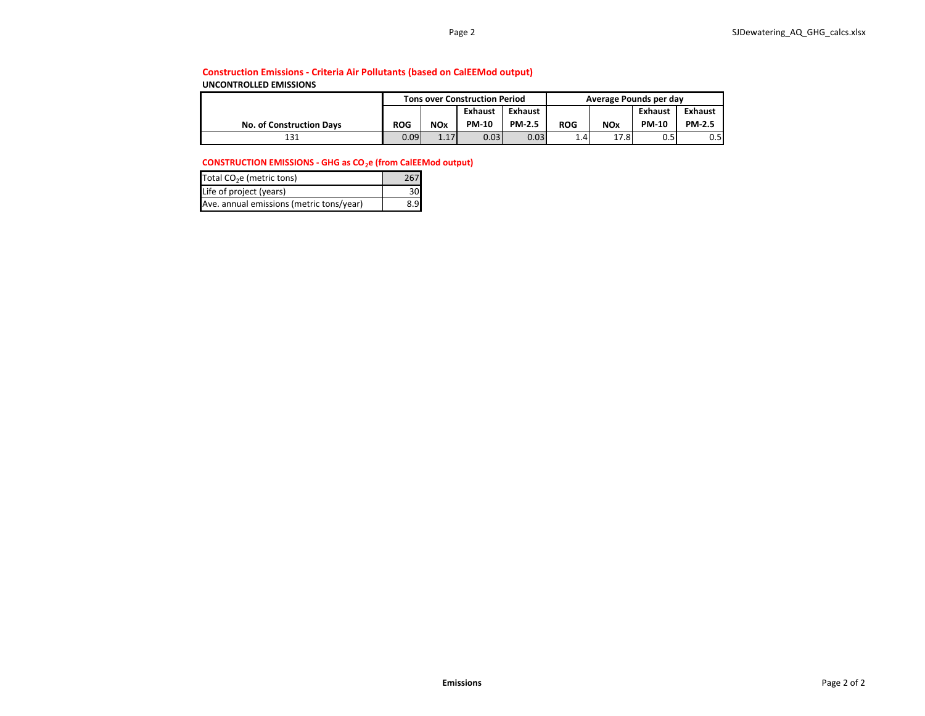#### **Construction Emissions - Criteria Air Pollutants (based on CalEEMod output)**

**UNCONTROLLED EMISSIONS**

|                                 | <b>Tons over Construction Period</b> |            |                   |               |                  | Average Pounds per day |              |               |
|---------------------------------|--------------------------------------|------------|-------------------|---------------|------------------|------------------------|--------------|---------------|
|                                 | Exhaust<br>Exhaust                   |            |                   | Exhaust       | Exhaust          |                        |              |               |
| <b>No. of Construction Davs</b> | <b>ROG</b>                           | <b>NOx</b> | <b>PM-10</b>      | <b>PM-2.5</b> | <b>ROG</b>       | <b>NOx</b>             | <b>PM-10</b> | <b>PM-2.5</b> |
| 131                             | 0.09 <sub>l</sub>                    | 1.17       | 0.03 <sub>1</sub> | 0.03          | 1.4 <sub>1</sub> | 17.8                   |              | 0.5           |

#### **CONSTRUCTION EMISSIONS - GHG as CO<sub>2</sub>e (from CalEEMod output)**

| Total CO <sub>2</sub> e (metric tons)    | 267 |
|------------------------------------------|-----|
| Life of project (years)                  |     |
| Ave. annual emissions (metric tons/year) |     |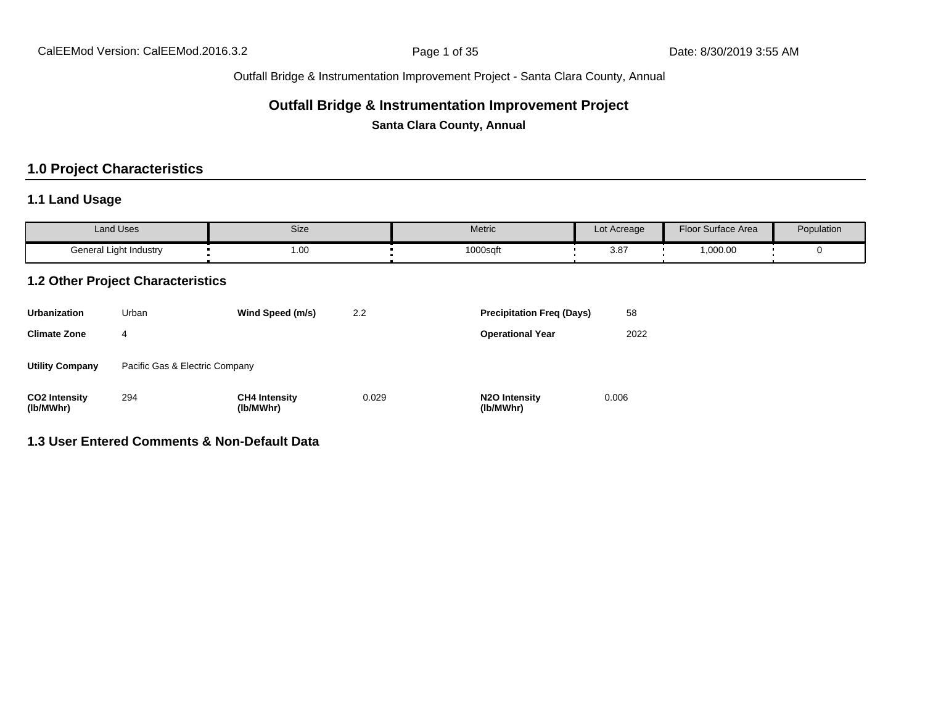#### **Outfall Bridge & Instrumentation Improvement Project**

**Santa Clara County, Annual**

# **1.0 Project Characteristics**

# **1.1 Land Usage**

| <b>Land Uses</b>       | Size | Metric   | Lot Acreage | Floor Surface Area                           | Population |
|------------------------|------|----------|-------------|----------------------------------------------|------------|
| General Light Industry | 1.00 | 1000sqft | $3.8^{-}$   | ,000.00<br>and the state of the state of the |            |

#### **1.2 Other Project Characteristics**

| <b>Urbanization</b>               | Urban                          | Wind Speed (m/s)                  | 2.2   | <b>Precipitation Freg (Days)</b>        | 58    |
|-----------------------------------|--------------------------------|-----------------------------------|-------|-----------------------------------------|-------|
| <b>Climate Zone</b>               | 4                              |                                   |       | <b>Operational Year</b>                 | 2022  |
| <b>Utility Company</b>            | Pacific Gas & Electric Company |                                   |       |                                         |       |
| <b>CO2 Intensity</b><br>(lb/MWhr) | 294                            | <b>CH4 Intensity</b><br>(lb/MWhr) | 0.029 | N <sub>2</sub> O Intensity<br>(lb/MWhr) | 0.006 |

# **1.3 User Entered Comments & Non-Default Data**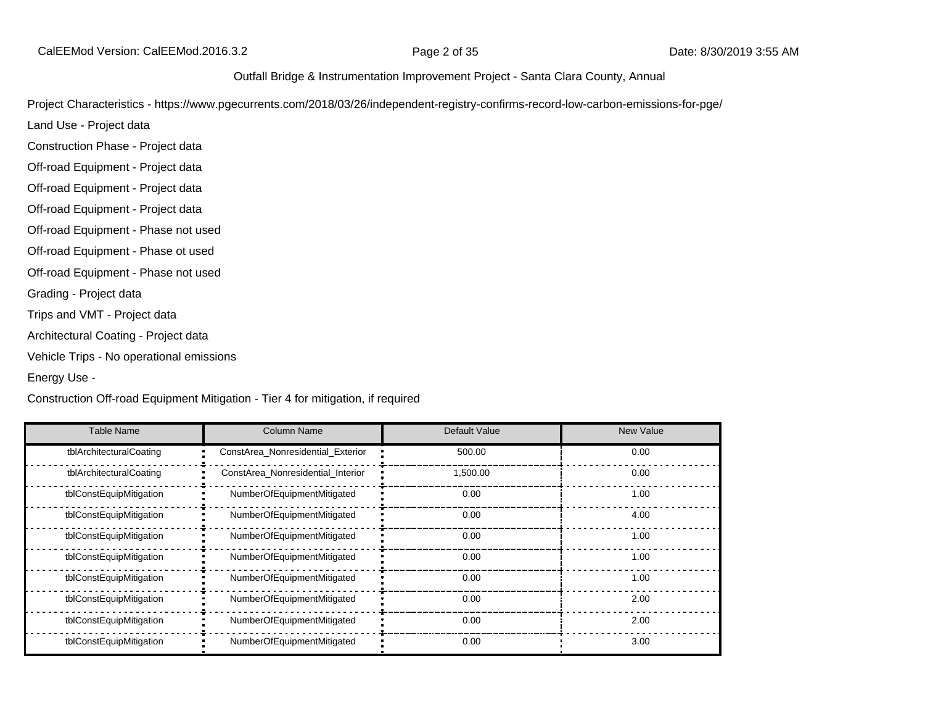CalEEMod Version: CalEEMod.2016.3.2 **Page 2 of 35** Page 2 of 35 Date: 8/30/2019 3:55 AM

#### Outfall Bridge & Instrumentation Improvement Project - Santa Clara County, Annual

Project Characteristics - https://www.pgecurrents.com/2018/03/26/independent-registry-confirms-record-low-carbon-emissions-for-pge/

Land Use - Project data

Construction Phase - Project data

Off-road Equipment - Project data

Off-road Equipment - Project data

Off-road Equipment - Project data

Off-road Equipment - Phase not used

Off-road Equipment - Phase ot used

Off-road Equipment - Phase not used

Grading - Project data

Trips and VMT - Project data

Architectural Coating - Project data

Vehicle Trips - No operational emissions

Energy Use -

Construction Off-road Equipment Mitigation - Tier 4 for mitigation, if required

| <b>Table Name</b>       | <b>Column Name</b>                | Default Value | <b>New Value</b> |
|-------------------------|-----------------------------------|---------------|------------------|
| tblArchitecturalCoating | ConstArea Nonresidential Exterior | 500.00        | 0.00             |
| tblArchitecturalCoating | ConstArea Nonresidential Interior | 1,500.00      | 0.00             |
| tblConstEquipMitigation | NumberOfEquipmentMitigated        | 0.00          | 1.00             |
| tblConstEquipMitigation | NumberOfEquipmentMitigated        | 0.00          | 4.00             |
| tblConstEquipMitigation | NumberOfEquipmentMitigated        | 0.00          | 1.00             |
| tblConstEquipMitigation | NumberOfEquipmentMitigated        | 0.00          | 1.00             |
| tblConstEquipMitigation | NumberOfEquipmentMitigated        | 0.00          | 1.00             |
| tblConstEquipMitigation | NumberOfEquipmentMitigated        | 0.00          | 2.00             |
| tblConstEquipMitigation | NumberOfEquipmentMitigated        | 0.00          | 2.00             |
| tblConstEquipMitigation | NumberOfEquipmentMitigated        | 0.00          | 3.00             |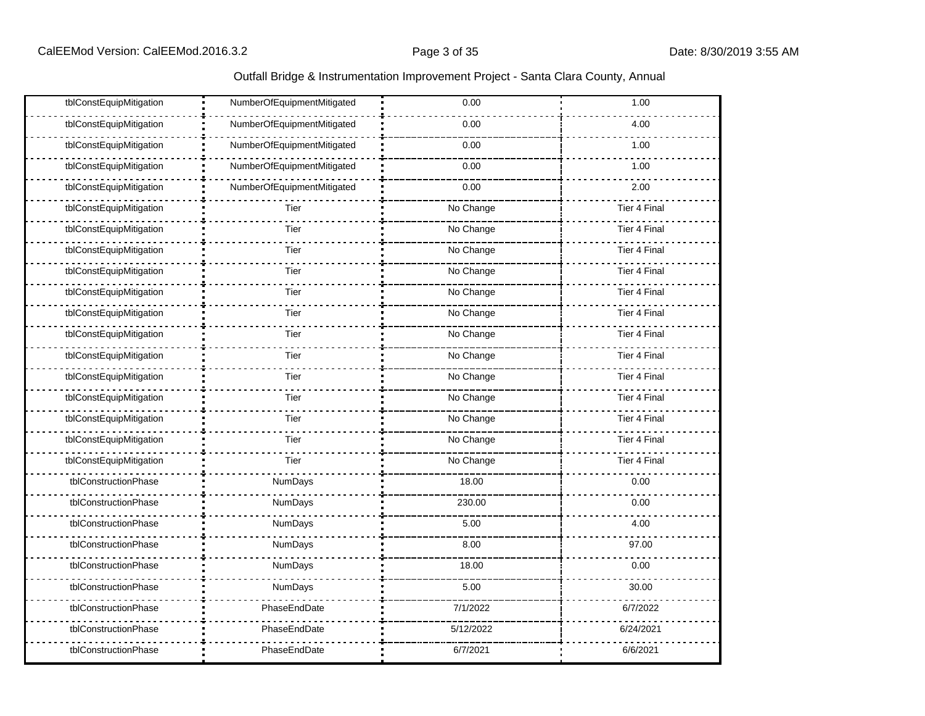| tblConstEquipMitigation | NumberOfEquipmentMitigated | 0.00      | 1.00                |
|-------------------------|----------------------------|-----------|---------------------|
| tblConstEquipMitigation | NumberOfEquipmentMitigated | 0.00      | 4.00                |
| tblConstEquipMitigation | NumberOfEquipmentMitigated | 0.00      | 1.00                |
| tblConstEquipMitigation | NumberOfEquipmentMitigated | 0.00      | 1.00                |
| tblConstEquipMitigation | NumberOfEquipmentMitigated | 0.00      | 2.00                |
| tblConstEquipMitigation | Tier                       | No Change | <b>Tier 4 Final</b> |
| tblConstEquipMitigation | Tier                       | No Change | <b>Tier 4 Final</b> |
| tblConstEquipMitigation | Tier                       | No Change | Tier 4 Final        |
| tblConstEquipMitigation | Tier                       | No Change | Tier 4 Final        |
| tblConstEquipMitigation | Tier                       | No Change | Tier 4 Final        |
| tblConstEquipMitigation | Tier                       | No Change | <b>Tier 4 Final</b> |
| tblConstEquipMitigation | Tier                       | No Change | Tier 4 Final        |
| tblConstEquipMitigation | Tier                       | No Change | Tier 4 Final        |
| tblConstEquipMitigation | Tier                       | No Change | <b>Tier 4 Final</b> |
| tblConstEquipMitigation | Tier                       | No Change | <b>Tier 4 Final</b> |
| tblConstEquipMitigation | Tier                       | No Change | <b>Tier 4 Final</b> |
| tblConstEquipMitigation | Tier                       | No Change | Tier 4 Final        |
| tblConstEquipMitigation | Tier                       | No Change | <b>Tier 4 Final</b> |
| tblConstructionPhase    | NumDays                    | 18.00     | 0.00                |
| tblConstructionPhase    | NumDays                    | 230.00    | 0.00                |
| tblConstructionPhase    | NumDays                    | 5.00      | 4.00                |
| tblConstructionPhase    | NumDays                    | 8.00      | 97.00               |
| tblConstructionPhase    | NumDays                    | 18.00     | 0.00                |
| tblConstructionPhase    | NumDays                    | 5.00      | 30.00               |
| tblConstructionPhase    | PhaseEndDate               | 7/1/2022  | 6/7/2022            |
| tblConstructionPhase    | PhaseEndDate               | 5/12/2022 | 6/24/2021           |
| tblConstructionPhase    | PhaseEndDate               | 6/7/2021  | 6/6/2021            |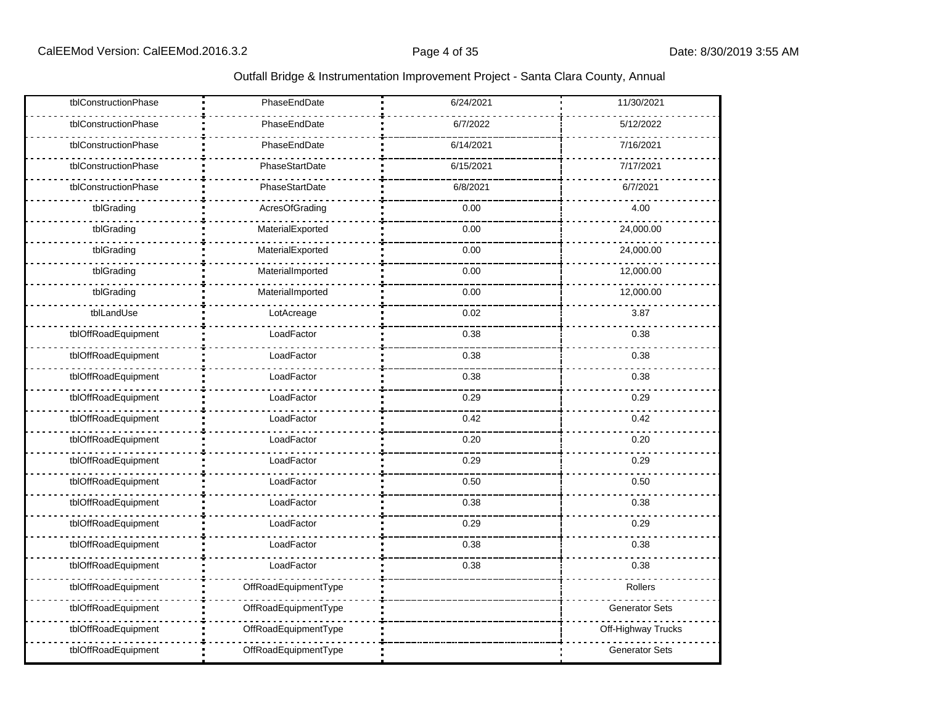| tblConstructionPhase | PhaseEndDate         | 6/24/2021 | 11/30/2021            |
|----------------------|----------------------|-----------|-----------------------|
| tblConstructionPhase | PhaseEndDate         | 6/7/2022  | 5/12/2022             |
| tblConstructionPhase | PhaseEndDate         | 6/14/2021 | 7/16/2021             |
| tblConstructionPhase | PhaseStartDate       | 6/15/2021 | 7/17/2021             |
| tblConstructionPhase | PhaseStartDate       | 6/8/2021  | 6/7/2021              |
| tblGrading           | AcresOfGrading       | 0.00      | 4.00                  |
| tblGrading           | MaterialExported     | 0.00      | 24,000.00             |
| tblGrading           | MaterialExported     | 0.00      | 24,000.00             |
| tblGrading           | MaterialImported     | 0.00      | 12,000.00             |
| tblGrading           | MaterialImported     | 0.00      | 12,000.00             |
| tblLandUse           | LotAcreage           | 0.02      | 3.87                  |
| tblOffRoadEquipment  | LoadFactor           | 0.38      | 0.38                  |
| tblOffRoadEquipment  | LoadFactor           | 0.38      | 0.38                  |
| tblOffRoadEquipment  | LoadFactor           | 0.38      | 0.38                  |
| tblOffRoadEquipment  | LoadFactor           | 0.29      | 0.29                  |
| tblOffRoadEquipment  | LoadFactor           | 0.42      | 0.42                  |
| tblOffRoadEquipment  | LoadFactor           | 0.20      | 0.20                  |
| tblOffRoadEquipment  | LoadFactor           | 0.29      | 0.29                  |
| tblOffRoadEquipment  | LoadFactor           | 0.50      | 0.50                  |
| tblOffRoadEquipment  | LoadFactor           | 0.38      | 0.38                  |
| tblOffRoadEquipment  | LoadFactor           | 0.29      | 0.29                  |
| tblOffRoadEquipment  | LoadFactor           | 0.38      | 0.38                  |
| tblOffRoadEquipment  | LoadFactor           | 0.38      | 0.38                  |
| tblOffRoadEquipment  | OffRoadEquipmentType |           | Rollers               |
| tblOffRoadEquipment  | OffRoadEquipmentType |           | <b>Generator Sets</b> |
| tblOffRoadEquipment  | OffRoadEquipmentType |           | Off-Highway Trucks    |
| tblOffRoadEquipment  | OffRoadEquipmentType |           | <b>Generator Sets</b> |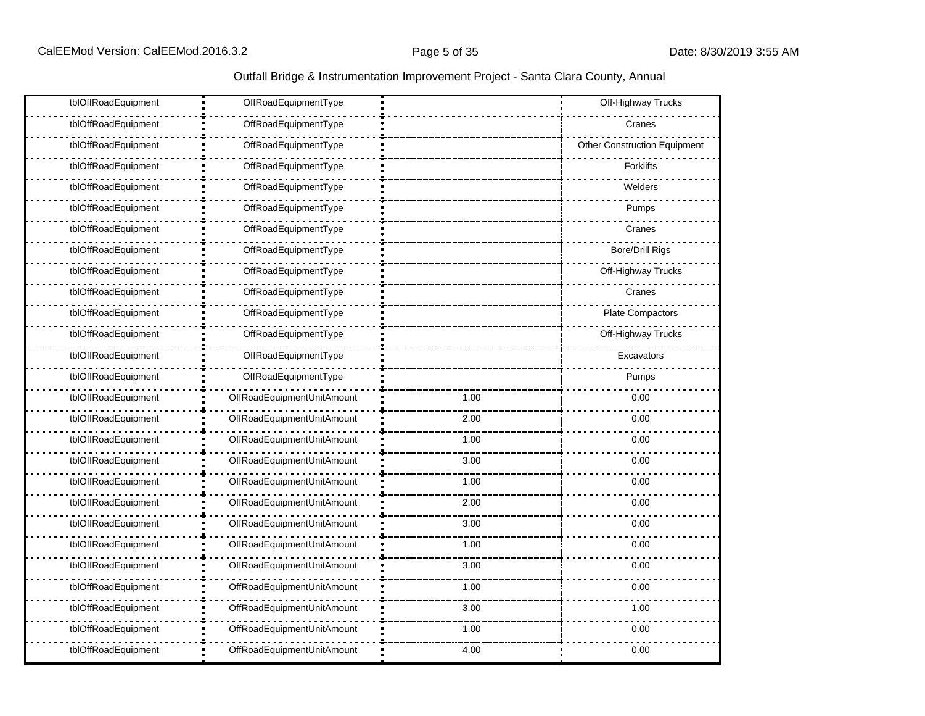|  |  | Outfall Bridge & Instrumentation Improvement Project - Santa Clara County, Annual |  |  |  |
|--|--|-----------------------------------------------------------------------------------|--|--|--|
|--|--|-----------------------------------------------------------------------------------|--|--|--|

| tblOffRoadEquipment | OffRoadEquipmentType       |      | Off-Highway Trucks           |
|---------------------|----------------------------|------|------------------------------|
| tblOffRoadEquipment | OffRoadEquipmentType       |      | Cranes                       |
| tblOffRoadEquipment | OffRoadEquipmentType       |      | Other Construction Equipment |
| tblOffRoadEquipment | OffRoadEquipmentType       |      | <b>Forklifts</b>             |
| tblOffRoadEquipment | OffRoadEquipmentType       |      | Welders                      |
| tblOffRoadEquipment | OffRoadEquipmentType       |      | Pumps                        |
| tblOffRoadEquipment | OffRoadEquipmentType       |      | Cranes                       |
| tblOffRoadEquipment | OffRoadEquipmentType       |      | <b>Bore/Drill Rigs</b>       |
| tblOffRoadEquipment | OffRoadEquipmentType       |      | Off-Highway Trucks           |
| tblOffRoadEquipment | OffRoadEquipmentType       |      | Cranes                       |
| tblOffRoadEquipment | OffRoadEquipmentType       |      | Plate Compactors             |
| tblOffRoadEquipment | OffRoadEquipmentType       |      | Off-Highway Trucks           |
| tblOffRoadEquipment | OffRoadEquipmentType       |      | Excavators                   |
| tblOffRoadEquipment | OffRoadEquipmentType       |      | Pumps                        |
| tblOffRoadEquipment | OffRoadEquipmentUnitAmount | 1.00 | 0.00                         |
| tblOffRoadEquipment | OffRoadEquipmentUnitAmount | 2.00 | 0.00                         |
| tblOffRoadEquipment | OffRoadEquipmentUnitAmount | 1.00 | 0.00                         |
| tblOffRoadEquipment | OffRoadEquipmentUnitAmount | 3.00 | 0.00                         |
| tblOffRoadEquipment | OffRoadEquipmentUnitAmount | 1.00 | 0.00                         |
| tblOffRoadEquipment | OffRoadEquipmentUnitAmount | 2.00 | 0.00                         |
| tblOffRoadEquipment | OffRoadEquipmentUnitAmount | 3.00 | 0.00                         |
| tblOffRoadEquipment | OffRoadEquipmentUnitAmount | 1.00 | 0.00                         |
| tblOffRoadEquipment | OffRoadEquipmentUnitAmount | 3.00 | 0.00                         |
| tblOffRoadEquipment | OffRoadEquipmentUnitAmount | 1.00 | 0.00                         |
| tblOffRoadEquipment | OffRoadEquipmentUnitAmount | 3.00 | 1.00                         |
| tblOffRoadEquipment | OffRoadEquipmentUnitAmount | 1.00 | 0.00                         |
| tblOffRoadEquipment | OffRoadEquipmentUnitAmount | 4.00 | 0.00                         |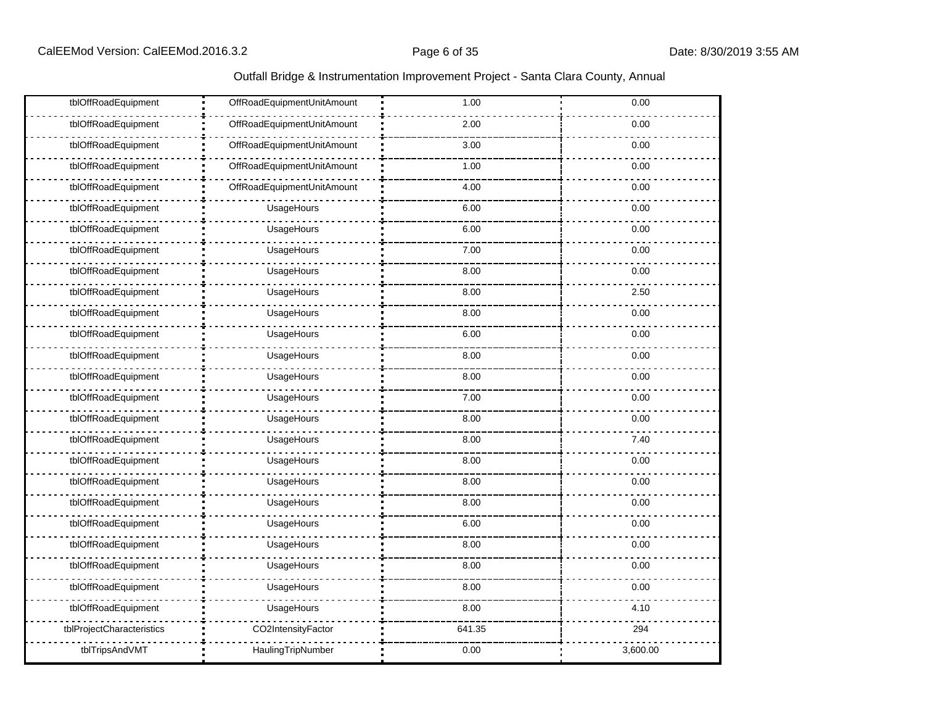| tblOffRoadEquipment       | OffRoadEquipmentUnitAmount | 1.00   | 0.00     |
|---------------------------|----------------------------|--------|----------|
| tblOffRoadEquipment       | OffRoadEquipmentUnitAmount | 2.00   | 0.00     |
| tblOffRoadEquipment       | OffRoadEquipmentUnitAmount | 3.00   | 0.00     |
| tblOffRoadEquipment       | OffRoadEquipmentUnitAmount | 1.00   | 0.00     |
| tblOffRoadEquipment       | OffRoadEquipmentUnitAmount | 4.00   | 0.00     |
| tblOffRoadEquipment       | UsageHours                 | 6.00   | 0.00     |
| tblOffRoadEquipment       | UsageHours                 | 6.00   | 0.00     |
| tblOffRoadEquipment       | UsageHours                 | 7.00   | 0.00     |
| tblOffRoadEquipment       | UsageHours                 | 8.00   | 0.00     |
| tblOffRoadEquipment       | UsageHours                 | 8.00   | 2.50     |
| tblOffRoadEquipment       | UsageHours                 | 8.00   | 0.00     |
| tblOffRoadEquipment       | UsageHours                 | 6.00   | 0.00     |
| tblOffRoadEquipment       | UsageHours                 | 8.00   | 0.00     |
| tblOffRoadEquipment       | UsageHours                 | 8.00   | 0.00     |
| tblOffRoadEquipment       | UsageHours                 | 7.00   | 0.00     |
| tblOffRoadEquipment       | UsageHours                 | 8.00   | 0.00     |
| tblOffRoadEquipment       | UsageHours                 | 8.00   | 7.40     |
| tblOffRoadEquipment       | UsageHours                 | 8.00   | 0.00     |
| tblOffRoadEquipment       | UsageHours                 | 8.00   | 0.00     |
| tblOffRoadEquipment       | UsageHours                 | 8.00   | 0.00     |
| tblOffRoadEquipment       | UsageHours                 | 6.00   | 0.00     |
| tblOffRoadEquipment       | UsageHours                 | 8.00   | 0.00     |
| tblOffRoadEquipment       | UsageHours                 | 8.00   | 0.00     |
| tblOffRoadEquipment       | UsageHours                 | 8.00   | 0.00     |
| tblOffRoadEquipment       | UsageHours                 | 8.00   | 4.10     |
| tblProjectCharacteristics | CO2IntensityFactor         | 641.35 | 294      |
| tblTripsAndVMT            | HaulingTripNumber          | 0.00   | 3,600.00 |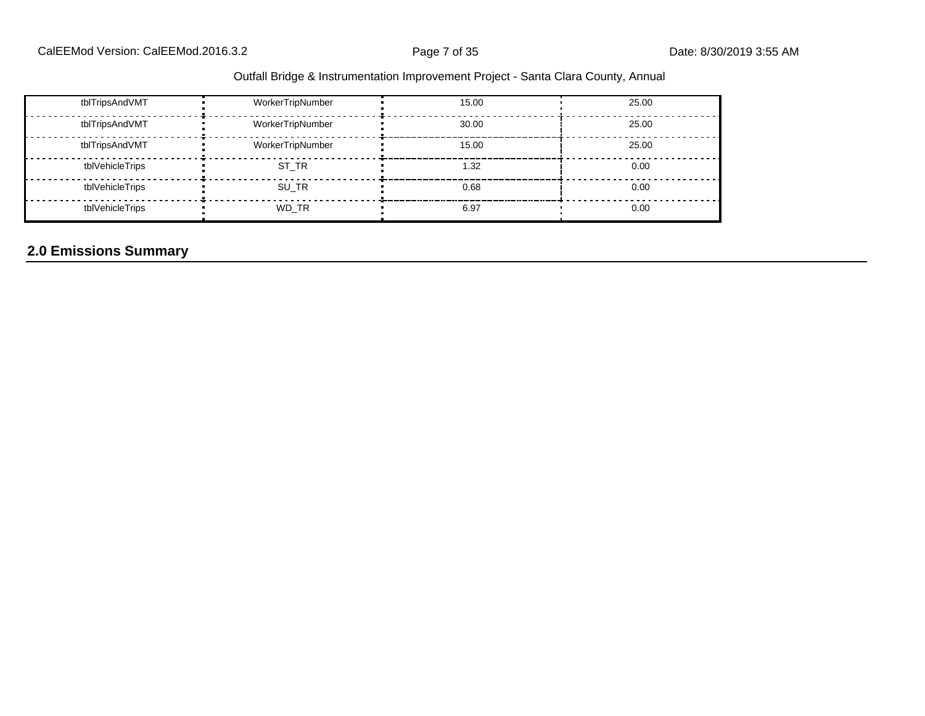| Outfall Bridge & Instrumentation Improvement Project - Santa Clara County, Annual |  |  |
|-----------------------------------------------------------------------------------|--|--|
|                                                                                   |  |  |

| tblTripsAndVMT  | WorkerTripNumber | 15.00 | 25.00 |
|-----------------|------------------|-------|-------|
| tblTripsAndVMT  | WorkerTripNumber | 30.00 | 25.00 |
| tblTripsAndVMT  | WorkerTripNumber | 15.00 | 25.00 |
| tblVehicleTrips | ST TR            | 1.32  | 0.00  |
| tblVehicleTrips | SU TR            | 0.68  | 0.00  |
| tblVehicleTrips | WD TR            | 6.97  | 0.00  |

# **2.0 Emissions Summary**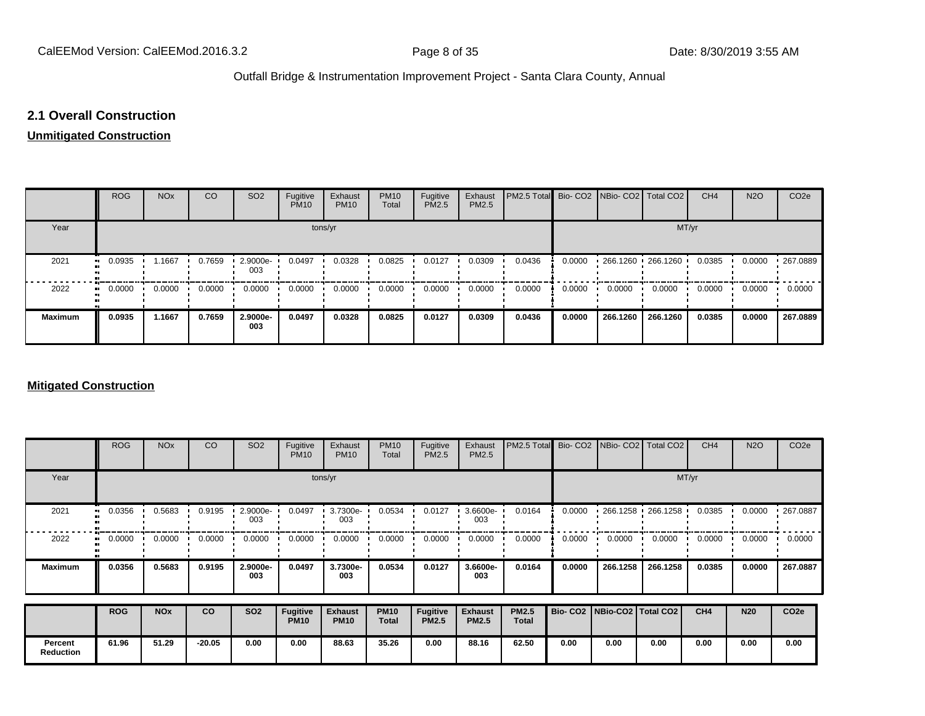# **2.1 Overall Construction**

#### **Unmitigated Construction**

|                | <b>ROG</b>                 | <b>NO<sub>x</sub></b> | CO     | SO <sub>2</sub> | Fugitive<br><b>PM10</b> | Exhaust<br><b>PM10</b> | <b>PM10</b><br>Total | Fugitive<br>PM2.5 | Exhaust<br>PM2.5 | PM2.5 Total Bio- CO2 NBio- CO2 Total CO2 |        |          |                      | CH <sub>4</sub> | <b>N2O</b> | CO <sub>2</sub> e |
|----------------|----------------------------|-----------------------|--------|-----------------|-------------------------|------------------------|----------------------|-------------------|------------------|------------------------------------------|--------|----------|----------------------|-----------------|------------|-------------------|
| Year           |                            |                       |        |                 | tons/yr                 |                        |                      |                   |                  |                                          |        |          | MT/yr                |                 |            |                   |
| 2021           | 0.0935<br>$\bullet\bullet$ | 1.1667                | 0.7659 | 2.9000e-<br>003 | 0.0497                  | 0.0328                 | 0.0825               | 0.0127            | 0.0309           | 0.0436                                   | 0.0000 |          | 266.1260 1266.1260 1 | 0.0385          | 0.0000     | 267.0889          |
| 2022           | 0.0000                     | 0.0000                | 0.0000 | 0.0000          | 0.0000                  | 0.0000                 | 0.0000               | 0.0000            | 0.0000           | 0.0000                                   | 0.0000 | 0.0000   | 0.0000               | 0.0000          | 0.0000     | 0.0000            |
| <b>Maximum</b> | 0.0935                     | 1.1667                | 0.7659 | 2.9000e-<br>003 | 0.0497                  | 0.0328                 | 0.0825               | 0.0127            | 0.0309           | 0.0436                                   | 0.0000 | 266.1260 | 266.1260             | 0.0385          | 0.0000     | 267.0889          |

#### **Mitigated Construction**

|                             | <b>ROG</b> | <b>NO<sub>x</sub></b> | CO       | SO <sub>2</sub> | Fugitive<br><b>PM10</b>        | Exhaust<br><b>PM10</b>        | <b>PM10</b><br>Total        | Fugitive<br>PM2.5               | Exhaust<br>PM2.5               | PM2.5 Total                  |                                 | Bio- CO2 NBio- CO2       | Total CO <sub>2</sub> | CH <sub>4</sub> | <b>N2O</b> | CO <sub>2e</sub> |
|-----------------------------|------------|-----------------------|----------|-----------------|--------------------------------|-------------------------------|-----------------------------|---------------------------------|--------------------------------|------------------------------|---------------------------------|--------------------------|-----------------------|-----------------|------------|------------------|
| Year                        |            |                       |          |                 |                                | tons/yr                       |                             |                                 |                                |                              |                                 |                          |                       | MT/yr           |            |                  |
| 2021                        | 0.0356     | 0.5683                | 0.9195   | 2.9000e-<br>003 | 0.0497                         | 3.7300e-<br>003               | 0.0534                      | 0.0127                          | $3.6600e -$<br>003             | 0.0164                       | 0.0000                          | $\cdot$ 266.1258 $\cdot$ | 266.1258              | 0.0385          | 0.0000     | 267.0887         |
| 2022                        | 0.0000     | 0.0000                | 0.0000   | 0.0000          | 0.0000                         | 0.0000                        | 0.0000                      | 0.0000                          | 0.0000                         | 0.0000                       | 0.0000                          | 0.0000                   | 0.0000                | 0.0000          | 0.0000     | 0.0000           |
| <b>Maximum</b>              | 0.0356     | 0.5683                | 0.9195   | 2.9000e-<br>003 | 0.0497                         | 3.7300e-<br>003               | 0.0534                      | 0.0127                          | 3.6600e-<br>003                | 0.0164                       | 0.0000                          | 266.1258                 | 266.1258              | 0.0385          | 0.0000     | 267.0887         |
|                             | <b>ROG</b> | <b>NO<sub>x</sub></b> | co       | <b>SO2</b>      | <b>Fugitive</b><br><b>PM10</b> | <b>Exhaust</b><br><b>PM10</b> | <b>PM10</b><br><b>Total</b> | <b>Fugitive</b><br><b>PM2.5</b> | <b>Exhaust</b><br><b>PM2.5</b> | <b>PM2.5</b><br><b>Total</b> | Bio- CO2   NBio-CO2   Total CO2 |                          |                       | CH4             | <b>N20</b> | CO <sub>2e</sub> |
| Percent<br><b>Reduction</b> | 61.96      | 51.29                 | $-20.05$ | 0.00            | 0.00                           | 88.63                         | 35.26                       | 0.00                            | 88.16                          | 62.50                        | 0.00                            | 0.00                     | 0.00                  | 0.00            | 0.00       | 0.00             |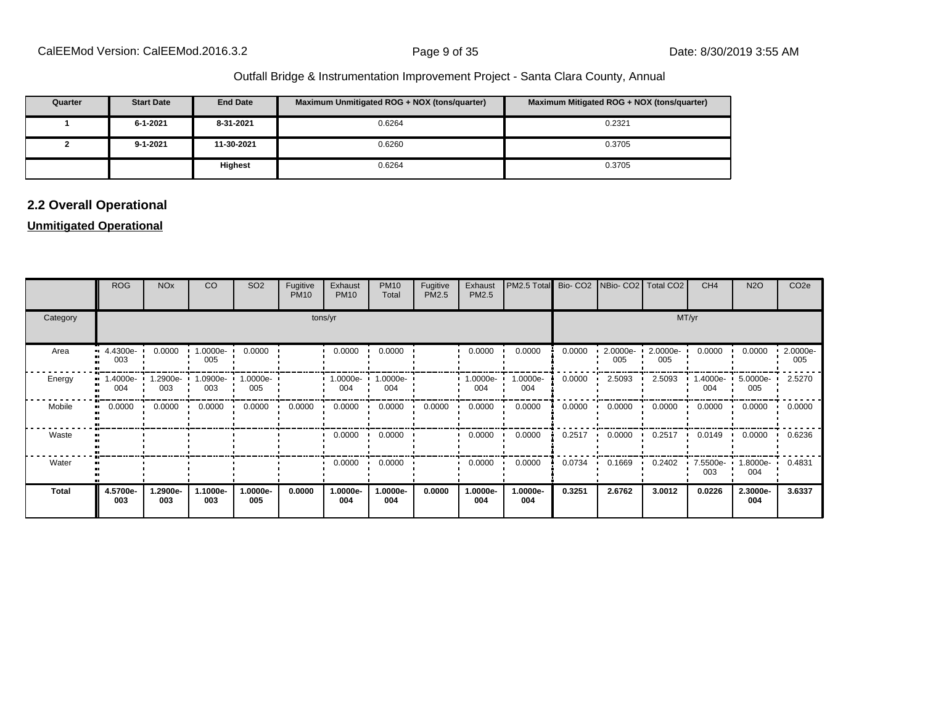| Quarter | <b>Start Date</b> | <b>End Date</b> | Maximum Unmitigated ROG + NOX (tons/quarter) | Maximum Mitigated ROG + NOX (tons/quarter) |
|---------|-------------------|-----------------|----------------------------------------------|--------------------------------------------|
|         | 6-1-2021          | 8-31-2021       | 0.6264                                       | 0.2321                                     |
|         | $9 - 1 - 2021$    | 11-30-2021      | 0.6260                                       | 0.3705                                     |
|         |                   | <b>Highest</b>  | 0.6264                                       | 0.3705                                     |

# **2.2 Overall Operational**

#### **Unmitigated Operational**

|              | <b>ROG</b>                     | <b>NO<sub>x</sub></b> | CO              | SO <sub>2</sub>          | Fugitive<br><b>PM10</b> | Exhaust<br><b>PM10</b> | <b>PM10</b><br>Total | Fugitive<br>PM2.5 | Exhaust<br>PM2.5   | PM2.5 Total     |        |                 | Bio- CO2   NBio- CO2   Total CO2 | CH <sub>4</sub> | <b>N2O</b>         | CO <sub>2e</sub> |  |
|--------------|--------------------------------|-----------------------|-----------------|--------------------------|-------------------------|------------------------|----------------------|-------------------|--------------------|-----------------|--------|-----------------|----------------------------------|-----------------|--------------------|------------------|--|
| Category     |                                | tons/yr               |                 |                          |                         |                        |                      |                   |                    |                 |        | MT/yr           |                                  |                 |                    |                  |  |
| Area         | $\blacksquare$ 4.4300e-<br>003 | 0.0000                | 1.0000e-<br>005 | 0.0000                   |                         | 0.0000                 | 0.0000               |                   | 0.0000             | 0.0000          | 0.0000 | 2.0000e-<br>005 | 2.0000e-<br>005                  | 0.0000          | 0.0000             | 2.0000e-<br>005  |  |
| Energy       | 1.4000e- •<br>004              | 1.2900e-<br>003       | 003             | 1.0900e- 1.0000e-<br>005 |                         | $1.0000e -$<br>004     | 1.0000e-<br>004      |                   | $1.0000e -$<br>004 | 1.0000e-<br>004 | 0.0000 | 2.5093          | 2.5093                           | 1.4000e-<br>004 | 5.0000e-<br>005    | 2.5270           |  |
| Mobile       | 0.0000                         | 0.0000                | 0.0000          | 0.0000                   | 0.0000                  | 0.0000                 | 0.0000               | 0.0000            | 0.0000             | 0.0000          | 0.0000 | 0.0000          | 0.0000                           | 0.0000          | 0.0000             | 0.0000           |  |
| Waste        |                                |                       |                 |                          |                         | 0.0000                 | 0.0000               |                   | 0.0000             | 0.0000          | 0.2517 | 0.0000          | 0.2517                           | 0.0149          | 0.0000             | 0.6236           |  |
| Water        |                                |                       |                 |                          |                         | 0.0000                 | 0.0000               |                   | 0.0000             | 0.0000          | 0.0734 | 0.1669          | 0.2402                           | 7.5500e-<br>003 | $1.8000e -$<br>004 | 0.4831           |  |
| <b>Total</b> | 4.5700e-<br>003                | 1.2900e-<br>003       | 1.1000e-<br>003 | 1.0000e-<br>005          | 0.0000                  | 1.0000e-<br>004        | 1.0000e-<br>004      | 0.0000            | 1.0000e-<br>004    | 1.0000e-<br>004 | 0.3251 | 2.6762          | 3.0012                           | 0.0226          | 2.3000e-<br>004    | 3.6337           |  |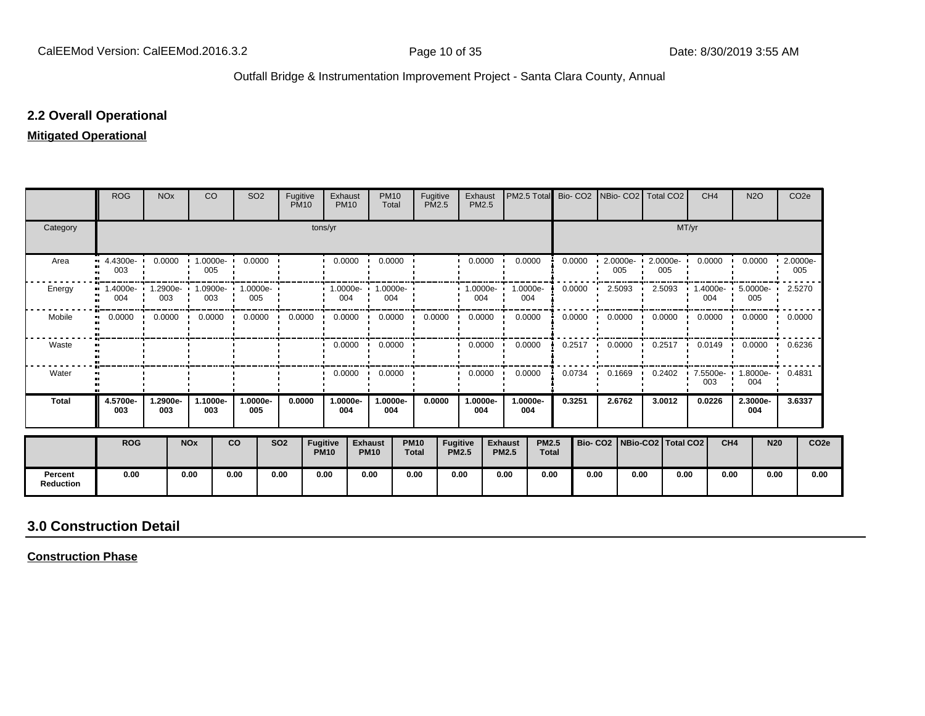#### **2.2 Overall Operational**

#### **Mitigated Operational**

|                             | <b>ROG</b>                     | <b>NO<sub>x</sub></b> |                       | <b>CO</b>       | SO <sub>2</sub>                                                              | Fugitive   | <b>PM10</b>             | Exhaust<br><b>PM10</b>  | <b>PM10</b><br>Total                     |                             | Fugitive<br><b>PM2.5</b> | Exhaust<br><b>PM2.5</b> |                                | PM2.5 Total                  | Bio-CO <sub>2</sub> |      |                  | INBio-CO2   Total CO2           |       | CH <sub>4</sub>         | <b>N2O</b>                      | CO <sub>2e</sub>        |                  |
|-----------------------------|--------------------------------|-----------------------|-----------------------|-----------------|------------------------------------------------------------------------------|------------|-------------------------|-------------------------|------------------------------------------|-----------------------------|--------------------------|-------------------------|--------------------------------|------------------------------|---------------------|------|------------------|---------------------------------|-------|-------------------------|---------------------------------|-------------------------|------------------|
| Category                    |                                |                       |                       |                 |                                                                              |            | tons/yr                 |                         |                                          |                             |                          |                         |                                |                              |                     |      |                  |                                 | MT/yr |                         |                                 |                         |                  |
| Area                        | $\blacksquare$ 4.4300e-<br>003 | 0.0000                |                       | 005             | $1.0000e - 0.0000$                                                           |            |                         | 0.0000                  | 0.0000                                   |                             |                          | 0.0000                  |                                | 0.0000                       | 0.0000              |      | 005              | 2.0000e- 2.0000e-<br>005        |       | 0.0000                  | 0.0000                          | $\cdot$ 2.0000e-<br>005 |                  |
| Energy                      | 004                            | 003                   |                       | 003             | 1.4000e- 1.2900e- 1.0900e- 1.0000e- 1<br>005                                 |            |                         | 004                     | $\cdot$ 1.0000e- $\cdot$ 1.0000e-<br>004 |                             |                          | $1.0000e-$<br>004       | 1.0000e-<br>004                |                              | 0.0000              |      | 2.5093           | 2.5093                          |       | 004                     | 1.4000e- 5.0000e- 2.5270<br>005 |                         |                  |
| Mobile                      | $\blacksquare$                 |                       |                       |                 | $0.0000$ $\cdot$ 0.0000 $\cdot$ 0.0000 $\cdot$ 0.0000 $\cdot$ 0.0000 $\cdot$ |            |                         |                         | $0.0000$ $\cdot$ 0.0000 $\cdot$          |                             | 0.0000                   | 0.0000                  |                                | 0.0000                       | 0.0000              |      |                  | $0.0000$ $\cdot$ 0.0000 $\cdot$ |       | 0.0000                  | 0.0000                          | 0.0000                  |                  |
| Waste                       |                                |                       |                       |                 |                                                                              |            |                         | $0.0000$ $\blacksquare$ | 0.0000                                   |                             |                          | 0.0000                  |                                | 0.0000                       | 0.2517              |      | $0.0000$ $\cdot$ | 0.2517                          |       | $0.0149$ $\blacksquare$ | $0.0000$ $\blacksquare$         | 0.6236                  |                  |
| Water                       |                                |                       |                       |                 |                                                                              |            |                         | 0.0000                  | 0.0000<br>$\cdot$                        |                             |                          | 0.0000                  |                                | 0.0000                       | 0.0734              |      | 0.1669           | 0.2402                          |       | 7.5500e-<br>003         | 1.8000e-<br>004                 | 0.4831                  |                  |
| <b>Total</b>                | 4.5700e-<br>003                | 1.2900e-<br>003       |                       | 1.1000e-<br>003 | 1.0000e-<br>005                                                              | 0.0000     |                         | 1.0000e-<br>004         | 1.0000e-<br>004                          |                             | 0.0000                   | 1.0000e-<br>004         | 004                            | 1.0000e-                     | 0.3251              |      | 2.6762           | 3.0012                          |       | 0.0226                  | 2.3000e-<br>004                 | 3.6337                  |                  |
|                             | <b>ROG</b>                     |                       | <b>NO<sub>x</sub></b> |                 | <b>CO</b>                                                                    | <b>SO2</b> | Fugitive<br><b>PM10</b> |                         | <b>Exhaust</b><br><b>PM10</b>            | <b>PM10</b><br><b>Total</b> | Fugitive<br><b>PM2.5</b> |                         | <b>Exhaust</b><br><b>PM2.5</b> | <b>PM2.5</b><br><b>Total</b> |                     |      |                  | Bio- CO2   NBio-CO2   Total CO2 |       | CH <sub>4</sub>         |                                 | <b>N20</b>              | CO <sub>2e</sub> |
| Percent<br><b>Reduction</b> | 0.00                           |                       | 0.00                  |                 | 0.00                                                                         | 0.00       | 0.00                    |                         | 0.00                                     | 0.00                        | 0.00                     |                         | 0.00                           | 0.00                         |                     | 0.00 | 0.00             |                                 | 0.00  | 0.00                    |                                 | 0.00                    | 0.00             |

# **3.0 Construction Detail**

**Construction Phase**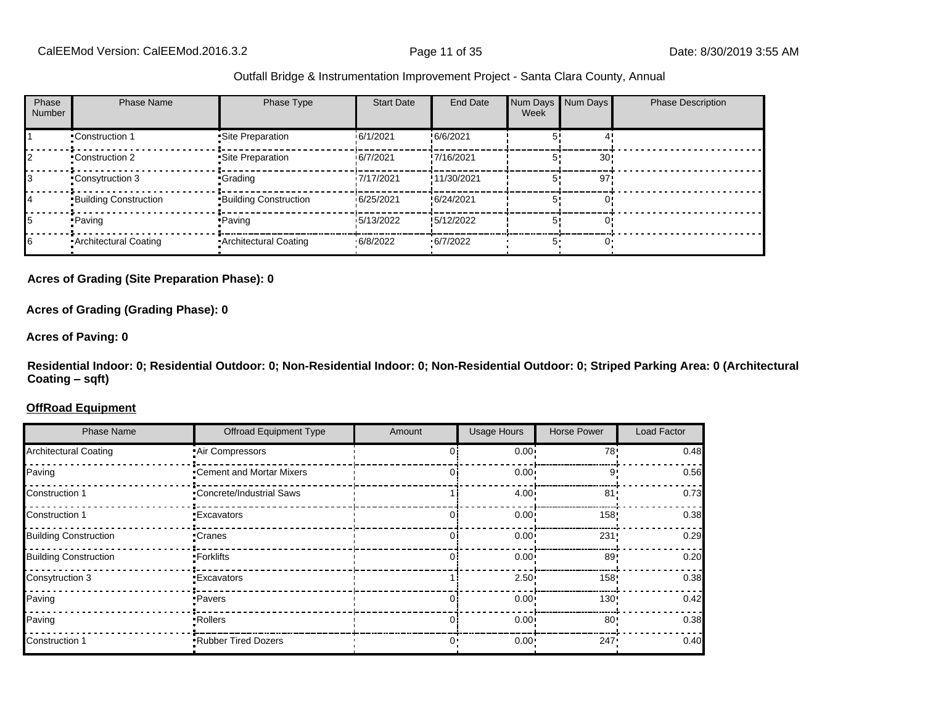| Phase<br>Number | <b>Phase Name</b>            | Phase Type                   | <b>Start Date</b> | End Date    | Num Days Num Days<br>Week |     | <b>Phase Description</b> |
|-----------------|------------------------------|------------------------------|-------------------|-------------|---------------------------|-----|--------------------------|
|                 | •Construction 1              | Site Preparation             | 6/1/2021          | !6/6/2021   |                           |     |                          |
|                 | ■Construction 2              | Site Preparation             | 6/7/2021          | !7/16/2021  |                           | 30! |                          |
|                 | Consytruction 3              | •Grading                     | 17/17/2021        | !11/30/2021 |                           | 97! |                          |
|                 | <b>Building Construction</b> | <b>Building Construction</b> | 16/25/2021        | !6/24/2021  |                           |     |                          |
|                 | • Paving                     | • Paving                     | 15/13/2022        | !5/12/2022  |                           |     |                          |
| 16              | Architectural Coating        | • Architectural Coating      | .6/8/2022         | .6/7/2022   |                           |     |                          |

#### **Acres of Grading (Site Preparation Phase): 0**

**Acres of Grading (Grading Phase): 0**

#### **Acres of Paving: 0**

**Residential Indoor: 0; Residential Outdoor: 0; Non-Residential Indoor: 0; Non-Residential Outdoor: 0; Striped Parking Area: 0 (Architectural Coating ±sqft)**

#### **OffRoad Equipment**

| <b>Phase Name</b>            | <b>Offroad Equipment Type</b>   | Amount | <b>Usage Hours</b> | <b>Horse Power</b> | Load Factor |
|------------------------------|---------------------------------|--------|--------------------|--------------------|-------------|
| <b>Architectural Coating</b> | • Air Compressors               |        | $0.00 -$           | 78'                | 0.48        |
| Paving                       | •Cement and Mortar Mixers       |        | $0.00 \cdot$       | ب و                | 0.56        |
| Construction 1               | <b>Concrete/Industrial Saws</b> |        | $4.00 -$           | 81 <sup>1</sup>    | 0.73        |
| Construction 1               | •Excavators                     |        | $0.00 -$           | 158                | 0.38        |
| <b>Building Construction</b> | •Cranes                         |        | $0.00 -$           | 231!               | 0.29        |
| <b>Building Construction</b> | •Forklifts                      |        | $0.00 -$           | 89                 | 0.20        |
| Consytruction 3              | •Excavators                     |        | $2.50 -$           | 158!               | 0.38        |
| Paving                       | •Pavers                         |        | 0.00 <sub>1</sub>  | 130'               | 0.42        |
| Paving                       | • Rollers                       |        | $0.00 -$           | 80'                | 0.38        |
| Construction 1               | <b>.</b> Rubber Tired Dozers    | ∩•     | $0.00 \cdot$       | 247:               | 0.40        |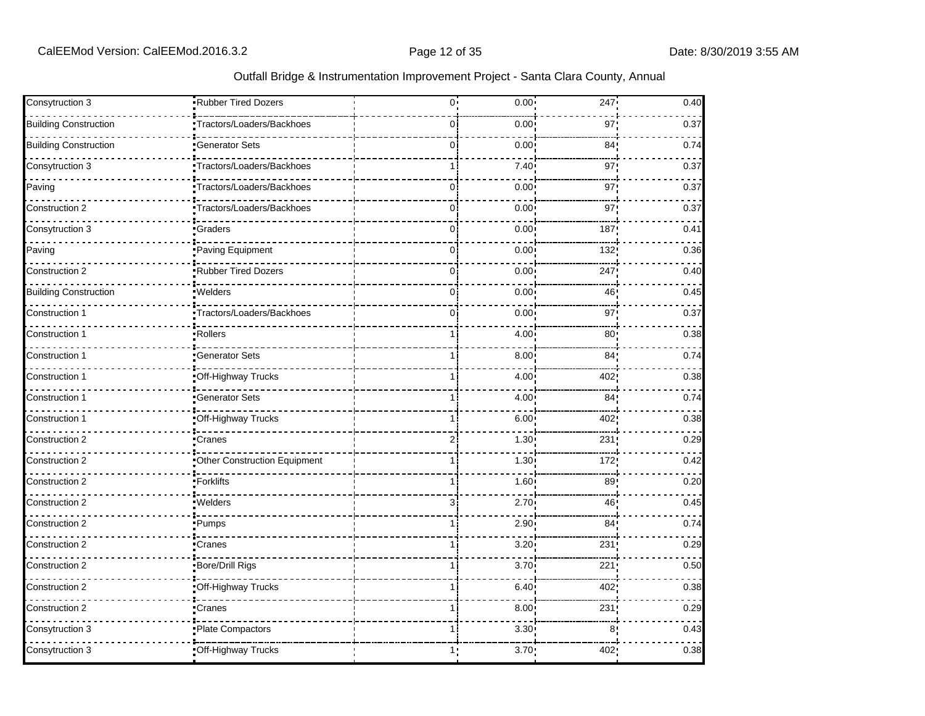|  |  | Outfall Bridge & Instrumentation Improvement Project - Santa Clara County, Annual |
|--|--|-----------------------------------------------------------------------------------|
|  |  |                                                                                   |

| Consytruction 3              | Rubber Tired Dozers            | $0^{\mathsf{i}}$ | 0.00 <sub>1</sub> | 247             | 0.40 |
|------------------------------|--------------------------------|------------------|-------------------|-----------------|------|
| <b>Building Construction</b> | Tractors/Loaders/Backhoes      | 0i               | 0.00              | 97 <sub>1</sub> | 0.37 |
| <b>Building Construction</b> | Generator Sets                 | $\overline{0}$   | 0.00              | 84:             | 0.74 |
| Consytruction 3              | .<br>Tractors/Loaders/Backhoes | 1                | 7.40              | 97              | 0.37 |
| Paving                       | Tractors/Loaders/Backhoes      | 0i               | 0.00 <sub>1</sub> | 97!             | 0.37 |
| Construction 2               | Tractors/Loaders/Backhoes      | 0i               | 0.00              | 97 <sub>1</sub> | 0.37 |
| Consytruction 3              | .<br>Graders                   | $\overline{0}$   | 0.00              | 187             | 0.41 |
| Paving                       | Paving Equipment               | $\overline{0}$   | 0.00              | 132             | 0.36 |
| Construction 2               | Rubber Tired Dozers            | 0.               | 0.00              | 247             | 0.40 |
| <b>Building Construction</b> | Welders                        | 0i               | 0.00              | 46              | 0.45 |
| Construction 1               | Tractors/Loaders/Backhoes      | 0                | 0.00              | 97              | 0.37 |
| Construction 1               | ·Rollers                       | $\mathbf{1}$     | 4.00              | 80              | 0.38 |
| Construction 1               | Generator Sets                 |                  | 8.00 <sub>1</sub> | 84 <sub>1</sub> | 0.74 |
| Construction '               | Off-Highway Trucks             | 1 i              | 4.00              | 402             | 0.38 |
| Construction 1               | Generator Sets                 | $\mathbf{1}$     | 4.00              | 84              | 0.74 |
| Construction 1               | Off-Highway Trucks             |                  | 6.00              | 402             | 0.38 |
| Construction 2               | Cranes                         | $\overline{2}$   | 1.30 <sup>1</sup> | 231             | 0.29 |
| Construction 2               | Other Construction Equipment   | 1 i              | 1.30              | 172             | 0.42 |
| Construction 2               | Forklifts                      |                  | 1.60              | 89              | 0.20 |
| Construction 2               | .<br>Welders                   | 3                | 2.70              | 46              | 0.45 |
| Construction 2               | Pumps                          |                  | 2.90 <sup>1</sup> | 84 <sub>1</sub> | 0.74 |
| Construction 2               | Cranes                         | 1 i              | 3.20              | 231             | 0.29 |
| Construction 2               | Bore/Drill Rigs                | 1 i              | 3.70              | 221             | 0.50 |
| Construction 2               | Off-Highway Trucks             |                  | 6.40              | 402             | 0.38 |
| Construction 2               | •Cranes                        |                  | 8.00 <sup>1</sup> | 231             | 0.29 |
| Consytruction 3              | Plate Compactors               | 1 i              | 3.30 <sup>1</sup> | 8               | 0.43 |
| Consytruction 3              | Off-Highway Trucks             | 1:               | 3.70 <sub>1</sub> | 402:            | 0.38 |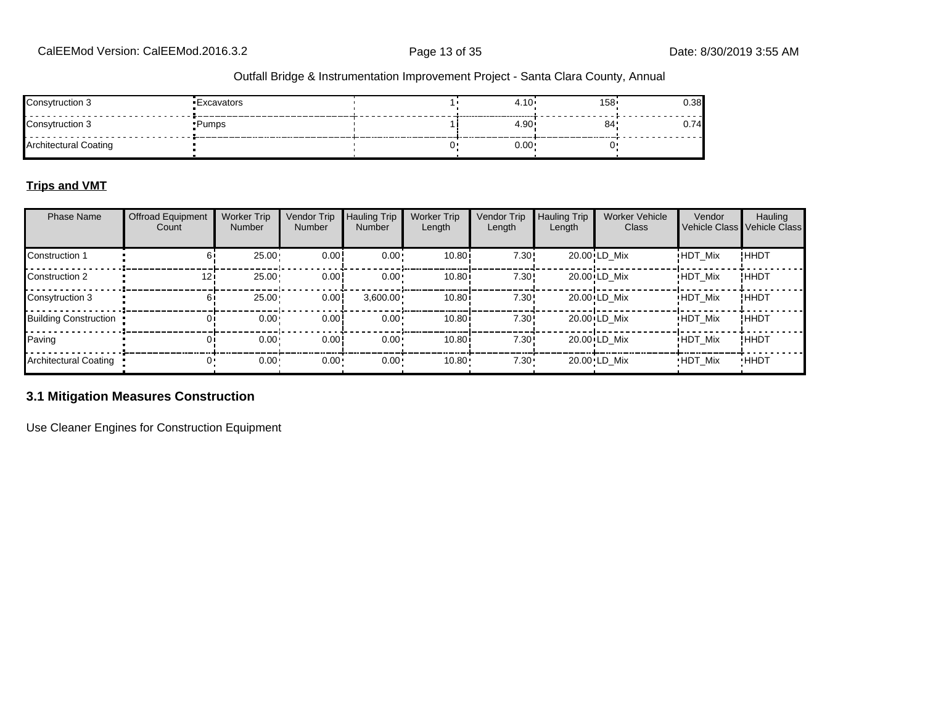| Consytruction 3              | 'Excavators | 4.10 | $158 -$ | u.ou |
|------------------------------|-------------|------|---------|------|
| Consytruction 3              | ∙Pumps      | 4.90 | 84      |      |
| <b>Architectural Coating</b> |             | 0.00 |         |      |

#### **Trips and VMT**

| <b>Phase Name</b>            | <b>Offroad Equipment</b><br>Count | <b>Worker Trip</b><br><b>Number</b> | Vendor Trip<br>Number | <b>Hauling Trip</b><br><b>Number</b> | <b>Worker Trip</b><br>Length | <b>Vendor Trip</b><br>Length | <b>Hauling Trip</b><br>Length | <b>Worker Vehicle</b><br>Class | Vendor         | Hauling<br>Vehicle Class Vehicle Class |
|------------------------------|-----------------------------------|-------------------------------------|-----------------------|--------------------------------------|------------------------------|------------------------------|-------------------------------|--------------------------------|----------------|----------------------------------------|
| Construction 1               | 61                                | 25.00                               | 0.00                  | $0.00 \cdot$                         | 10.80i                       | 7.30!                        |                               | 20.00 LD Mix                   | <b>HDT Mix</b> | !HHDT                                  |
| Construction 2               | 12i                               | 25.00                               | 0.00!                 | $0.00 \cdot$                         | 10.80                        | 7.30!                        |                               | 20.00 LD Mix                   | <b>HDT Mix</b> | !ННDТ                                  |
| Consytruction 3              | 61                                | 25.00                               | 0.00                  | $3,600.00 \cdot$                     | 10.80i                       | 7.30!                        |                               | 20.00 LD Mix                   | <b>HDT Mix</b> | !ННDТ                                  |
| <b>Building Construction</b> |                                   | $0.00 \cdot$                        | 0.00!                 | $0.00 \cdot$                         | 10.80i                       | 7.30!                        |                               | 20.00 LD Mix                   | <b>HDT Mix</b> | !HHDT                                  |
| Paving                       |                                   | $0.00 -$                            | 0.00!                 | $0.00 \cdot$                         | 10.80i                       | 7.30!                        |                               | 20.00 LD Mix                   | <b>HDT Mix</b> | !HHDT                                  |
| <b>Architectural Coating</b> |                                   | $0.00 -$                            | $0.00 -$              | $0.00 \cdot$                         | 10.80                        | $7.30 -$                     |                               | 20.00 LD Mix                   | <b>HDT Mix</b> | <b>HHDT</b>                            |

#### **3.1 Mitigation Measures Construction**

Use Cleaner Engines for Construction Equipment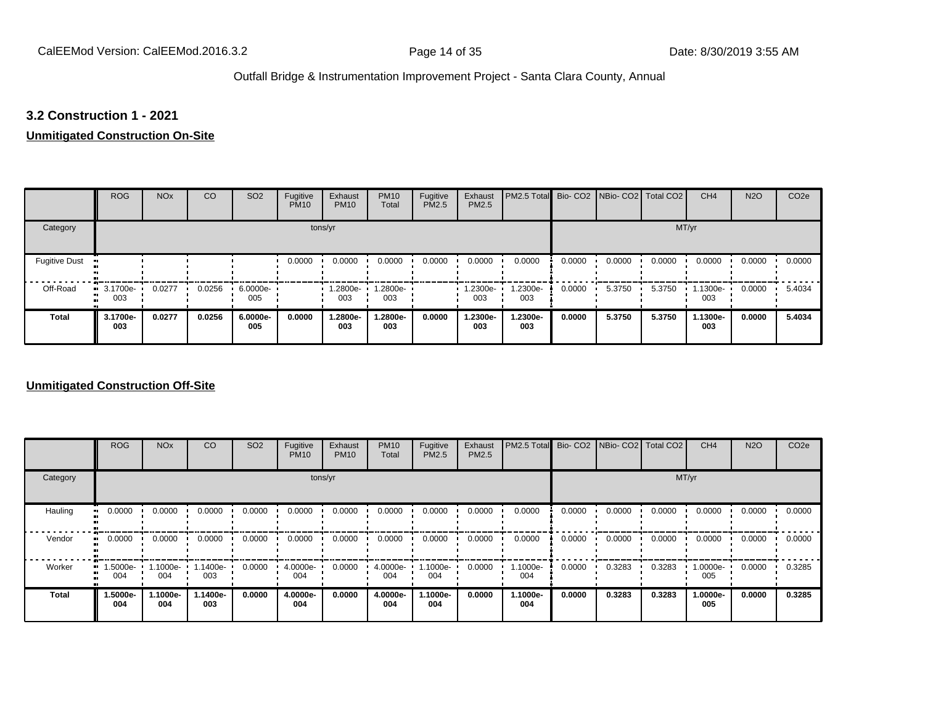#### **3.2 Construction 1 - 2021**

#### **Unmitigated Construction On-Site**

|                      | <b>ROG</b>                     | <b>NO<sub>x</sub></b> | CO     | SO <sub>2</sub>    | Fugitive<br><b>PM10</b> | Exhaust<br><b>PM10</b> | <b>PM10</b><br>Total | Fugitive<br>PM2.5 | Exhaust<br>PM2.5 | PM2.5 Total Bio- CO2 NBio- CO2 Total CO2 |        |        |        | CH <sub>4</sub> | <b>N2O</b> | CO <sub>2e</sub> |
|----------------------|--------------------------------|-----------------------|--------|--------------------|-------------------------|------------------------|----------------------|-------------------|------------------|------------------------------------------|--------|--------|--------|-----------------|------------|------------------|
| Category             |                                |                       |        |                    |                         | tons/yr                |                      |                   |                  |                                          |        |        | MT/yr  |                 |            |                  |
| <b>Fugitive Dust</b> |                                |                       |        |                    | 0.0000                  | 0.0000                 | 0.0000               | 0.0000            | 0.0000           | 0.0000                                   | 0.0000 | 0.0000 | 0.0000 | 0.0000          | 0.0000     | 0.0000           |
| Off-Road             | $\blacksquare$ 3.1700e-<br>003 | 0.0277                | 0.0256 | $6.0000e -$<br>005 |                         | 1.2800e-<br>003        | 1.2800e-<br>003      |                   | 1.2300e-<br>003  | 1.2300e-<br>003                          | 0.0000 | 5.3750 | 5.3750 | 1.1300e-<br>003 | 0.0000     | 5.4034           |
| <b>Total</b>         | 3.1700e-<br>003                | 0.0277                | 0.0256 | 6.0000e-<br>005    | 0.0000                  | 1.2800e-<br>003        | 1.2800e-<br>003      | 0.0000            | 1.2300e-<br>003  | 1.2300e-<br>003                          | 0.0000 | 5.3750 | 5.3750 | 1.1300e-<br>003 | 0.0000     | 5.4034           |

#### **Unmitigated Construction Off-Site**

|              | <b>ROG</b>      | <b>NO<sub>x</sub></b> | CO              | SO <sub>2</sub> | Fugitive<br><b>PM10</b> | Exhaust<br><b>PM10</b> | <b>PM10</b><br>Total | Fugitive<br><b>PM2.5</b> | Exhaust<br>PM2.5 | PM2.5 Total Bio- CO2 NBio- CO2 Total CO2 |        |        |        | CH <sub>4</sub> | <b>N2O</b> | CO <sub>2e</sub> |
|--------------|-----------------|-----------------------|-----------------|-----------------|-------------------------|------------------------|----------------------|--------------------------|------------------|------------------------------------------|--------|--------|--------|-----------------|------------|------------------|
| Category     |                 |                       |                 |                 |                         | tons/yr                |                      |                          |                  |                                          |        |        |        | MT/yr           |            |                  |
| Hauling      | 0.0000          | 0.0000                | 0.0000          | 0.0000          | 0.0000                  | 0.0000                 | 0.0000               | 0.0000                   | 0.0000           | 0.0000                                   | 0.0000 | 0.0000 | 0.0000 | 0.0000          | 0.0000     | 0.0000           |
| Vendor       | 0.0000          | 0.0000                | 0.0000          | 0.0000          | 0.0000                  | 0.0000                 | 0.0000               | 0.0000                   | 0.0000           | 0.0000                                   | 0.0000 | 0.0000 | 0.0000 | 0.0000          | 0.0000     | 0.0000           |
| Worker       | 1.5000e-<br>004 | 1.1000e- +<br>004     | .1400e-<br>003  | 0.0000          | 4.0000e-<br>004         | 0.0000                 | 4.0000e-<br>004      | $.1000e-$<br>004         | 0.0000           | 1.1000e-<br>004                          | 0.0000 | 0.3283 | 0.3283 | 1.0000e-<br>005 | 0.0000     | 0.3285           |
| <b>Total</b> | 1.5000e-<br>004 | 1.1000e-<br>004       | 1.1400e-<br>003 | 0.0000          | 4.0000e-<br>004         | 0.0000                 | 4.0000e-<br>004      | 1.1000e-<br>004          | 0.0000           | 1.1000e-<br>004                          | 0.0000 | 0.3283 | 0.3283 | 1.0000e-<br>005 | 0.0000     | 0.3285           |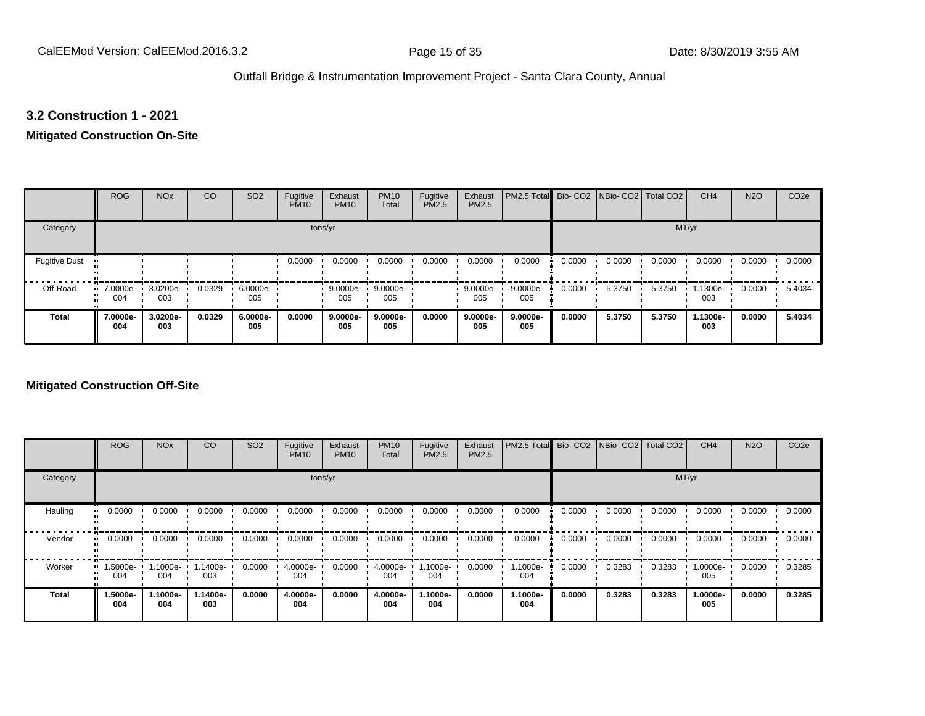#### **3.2 Construction 1 - 2021**

#### **Mitigated Construction On-Site**

|                      | <b>ROG</b>                     | <b>NO<sub>x</sub></b> | CO     | SO <sub>2</sub> | Fugitive<br><b>PM10</b> | Exhaust<br><b>PM10</b> | <b>PM10</b><br>Total | Fugitive<br><b>PM2.5</b> | Exhaust<br>PM2.5 | PM2.5 Total Bio- CO2 NBio- CO2 Total CO2 |        |        |        | CH <sub>4</sub> | <b>N2O</b> | CO <sub>2e</sub> |
|----------------------|--------------------------------|-----------------------|--------|-----------------|-------------------------|------------------------|----------------------|--------------------------|------------------|------------------------------------------|--------|--------|--------|-----------------|------------|------------------|
| Category             |                                |                       |        |                 | tons/yr                 |                        |                      |                          |                  |                                          |        |        | MT/yr  |                 |            |                  |
| <b>Fugitive Dust</b> |                                |                       |        |                 | 0.0000                  | 0.0000                 | 0.0000               | 0.0000                   | 0.0000           | 0.0000                                   | 0.0000 | 0.0000 | 0.0000 | 0.0000          | 0.0000     | 0.0000           |
| Off-Road             | $\blacksquare$ 7.0000e-<br>004 | 3.0200e-<br>003       | 0.0329 | 6.0000e-<br>005 |                         | 9.0000e-<br>005        | 9.0000e-<br>005      |                          | 9.0000e-<br>005  | 9.0000e-<br>005                          | 0.0000 | 5.3750 | 5.3750 | 1.1300e-<br>003 | 0.0000     | 5.4034           |
| <b>Total</b>         | 7.0000e-<br>004                | 3.0200e-<br>003       | 0.0329 | 6.0000e-<br>005 | 0.0000                  | $9.0000e-$<br>005      | 9.0000e-<br>005      | 0.0000                   | 9.0000e-<br>005  | $9.0000e-$<br>005                        | 0.0000 | 5.3750 | 5.3750 | 1.1300e-<br>003 | 0.0000     | 5.4034           |

#### **Mitigated Construction Off-Site**

|              | <b>ROG</b>      | <b>NO<sub>x</sub></b> | CO              | SO <sub>2</sub> | Fugitive<br><b>PM10</b> | Exhaust<br><b>PM10</b> | <b>PM10</b><br>Total | Fugitive<br><b>PM2.5</b> | Exhaust<br>PM2.5 | PM2.5 Total Bio- CO2 NBio- CO2 Total CO2 |        |        |        | CH <sub>4</sub> | <b>N2O</b> | CO <sub>2e</sub> |
|--------------|-----------------|-----------------------|-----------------|-----------------|-------------------------|------------------------|----------------------|--------------------------|------------------|------------------------------------------|--------|--------|--------|-----------------|------------|------------------|
| Category     |                 |                       |                 |                 | tons/yr                 |                        |                      |                          |                  |                                          |        |        | MT/yr  |                 |            |                  |
| Hauling      | 0.0000          | 0.0000                | 0.0000          | 0.0000          | 0.0000                  | 0.0000                 | 0.0000               | 0.0000                   | 0.0000           | 0.0000                                   | 0.0000 | 0.0000 | 0.0000 | 0.0000          | 0.0000     | 0.0000           |
| Vendor       | 0.0000          | 0.0000                | 0.0000          | 0.0000          | 0.0000                  | 0.0000                 | 0.0000               | 0.0000                   | 0.0000           | 0.0000                                   | 0.0000 | 0.0000 | 0.0000 | 0.0000          | 0.0000     | 0.0000           |
| Worker<br>œ  | 1.5000e-<br>004 | 1.1000e-<br>004       | .1400e-<br>003  | 0.0000          | 4.0000e-<br>004         | 0.0000                 | 4.0000e-<br>004      | 1.1000e-<br>004          | 0.0000           | 1.1000e-<br>004                          | 0.0000 | 0.3283 | 0.3283 | 1.0000e-<br>005 | 0.0000     | 0.3285           |
| <b>Total</b> | 1.5000e-<br>004 | 1.1000e-<br>004       | 1.1400e-<br>003 | 0.0000          | 4.0000e-<br>004         | 0.0000                 | 4.0000e-<br>004      | 1.1000e-<br>004          | 0.0000           | 1.1000e-<br>004                          | 0.0000 | 0.3283 | 0.3283 | 1.0000e-<br>005 | 0.0000     | 0.3285           |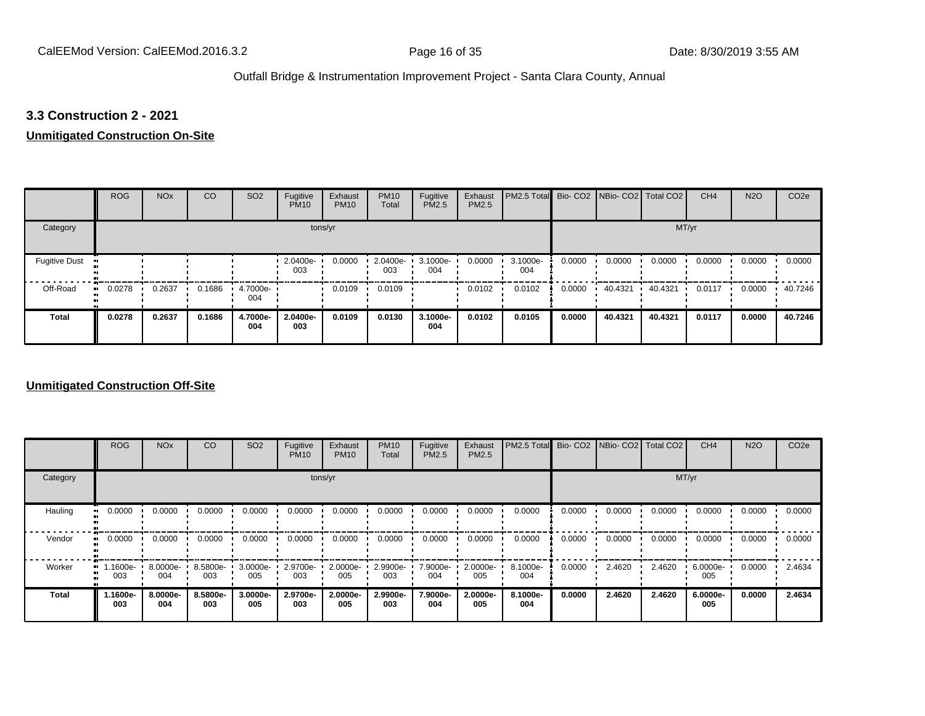#### **3.3 Construction 2 - 2021**

#### **Unmitigated Construction On-Site**

|                      | <b>ROG</b>   | <b>NO<sub>x</sub></b> | CO     | SO <sub>2</sub> | Fugitive<br><b>PM10</b> | Exhaust<br><b>PM10</b> | <b>PM10</b><br>Total | Fugitive<br><b>PM2.5</b> | Exhaust<br>PM2.5 | PM2.5 Total Bio- CO2 NBio- CO2 Total CO2 |        |         |         | CH <sub>4</sub> | <b>N2O</b> | CO <sub>2e</sub> |
|----------------------|--------------|-----------------------|--------|-----------------|-------------------------|------------------------|----------------------|--------------------------|------------------|------------------------------------------|--------|---------|---------|-----------------|------------|------------------|
| Category             |              |                       |        |                 | tons/yr                 |                        |                      |                          |                  |                                          |        |         | MT/yr   |                 |            |                  |
| <b>Fugitive Dust</b> |              |                       |        |                 | 2.0400e-<br>003         | 0.0000                 | 2.0400e-<br>003      | 3.1000e-<br>004          | 0.0000           | 3.1000e-<br>004                          | 0.0000 | 0.0000  | 0.0000  | 0.0000          | 0.0000     | 0.0000           |
| Off-Road             | 0.0278<br>ш. | 0.2637                | 0.1686 | 4.7000e-<br>004 |                         | 0.0109                 | 0.0109               |                          | 0.0102           | 0.0102                                   | 0.0000 | 40.4321 | 40.4321 | 0.0117          | 0.0000     | 40.7246          |
| <b>Total</b>         | 0.0278       | 0.2637                | 0.1686 | 4.7000e-<br>004 | 2.0400e-<br>003         | 0.0109                 | 0.0130               | 3.1000e-<br>004          | 0.0102           | 0.0105                                   | 0.0000 | 40.4321 | 40.4321 | 0.0117          | 0.0000     | 40.7246          |

#### **Unmitigated Construction Off-Site**

|              | <b>ROG</b>      | <b>NO<sub>x</sub></b> | CO              | SO <sub>2</sub>    | Fugitive<br><b>PM10</b> | Exhaust<br><b>PM10</b> | <b>PM10</b><br>Total | Fugitive<br><b>PM2.5</b> | Exhaust<br>PM2.5 | PM2.5 Total Bio- CO2 NBio- CO2 Total CO2 |        |        |        | CH <sub>4</sub> | <b>N2O</b> | CO <sub>2e</sub> |
|--------------|-----------------|-----------------------|-----------------|--------------------|-------------------------|------------------------|----------------------|--------------------------|------------------|------------------------------------------|--------|--------|--------|-----------------|------------|------------------|
| Category     |                 |                       |                 |                    |                         | tons/yr                |                      |                          |                  |                                          |        |        | MT/yr  |                 |            |                  |
| Hauling      | 0.0000          | 0.0000                | 0.0000          | 0.0000             | 0.0000                  | 0.0000                 | 0.0000               | 0.0000                   | 0.0000           | 0.0000                                   | 0.0000 | 0.0000 | 0.0000 | 0.0000          | 0.0000     | 0.0000           |
| Vendor       | 0.0000          | 0.0000                | 0.0000          | 0.0000             | 0.0000                  | 0.0000                 | 0.0000               | 0.0000                   | 0.0000           | 0.0000                                   | 0.0000 | 0.0000 | 0.0000 | 0.0000          | 0.0000     | 0.0000           |
| Worker       | 1.1600e-<br>003 | $8.0000e -$<br>004    | 8.5800e-<br>003 | $3.0000e -$<br>005 | 2.9700e-<br>003         | 2.0000e-<br>005        | 2.9900e-<br>003      | 7.9000e-<br>004          | 2.0000e-<br>005  | 8.1000e-<br>004                          | 0.0000 | 2.4620 | 2.4620 | 6.0000e-<br>005 | 0.0000     | 2.4634           |
| <b>Total</b> | 1.1600e-<br>003 | 8.0000e-<br>004       | 8.5800e-<br>003 | 3.0000e-<br>005    | 2.9700e-<br>003         | 2.0000e-<br>005        | 2.9900e-<br>003      | 7.9000e-<br>004          | 2.0000e-<br>005  | 8.1000e-<br>004                          | 0.0000 | 2.4620 | 2.4620 | 6.0000e-<br>005 | 0.0000     | 2.4634           |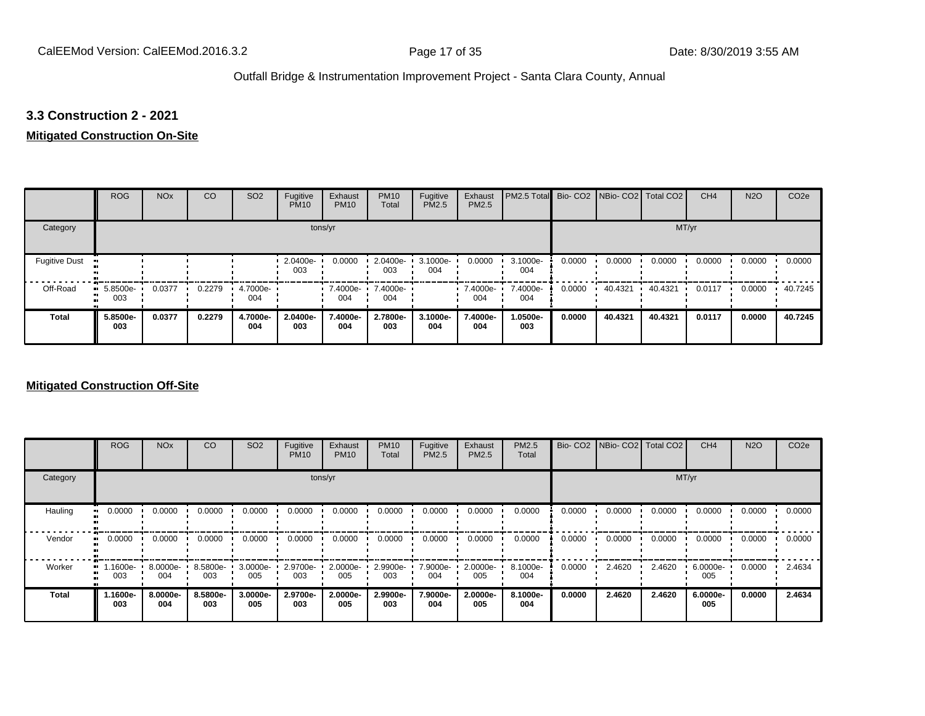#### **3.3 Construction 2 - 2021**

#### **Mitigated Construction On-Site**

|                      | <b>ROG</b>                   | <b>NO<sub>x</sub></b> | CO     | SO <sub>2</sub> | Fugitive<br><b>PM10</b> | Exhaust<br><b>PM10</b> | <b>PM10</b><br>Total | Fugitive<br>PM2.5 | Exhaust<br>PM2.5 | PM2.5 Total Bio- CO2 NBio- CO2 Total CO2 |        |         |         | CH <sub>4</sub> | <b>N2O</b> | CO <sub>2e</sub> |
|----------------------|------------------------------|-----------------------|--------|-----------------|-------------------------|------------------------|----------------------|-------------------|------------------|------------------------------------------|--------|---------|---------|-----------------|------------|------------------|
| Category             |                              |                       |        |                 | tons/yr                 |                        |                      |                   |                  |                                          |        |         | MT/yr   |                 |            |                  |
| <b>Fugitive Dust</b> |                              |                       |        |                 | 2.0400e-<br>003         | 0.0000                 | 2.0400e-<br>003      | 3.1000e-<br>004   | 0.0000           | 3.1000e-<br>004                          | 0.0000 | 0.0000  | 0.0000  | 0.0000          | 0.0000     | 0.0000           |
| Off-Road<br>         | 5.8500e-<br>$\bullet$<br>003 | 0.0377                | 0.2279 | 4.7000e-<br>004 |                         | $-7.4000e-$<br>004     | 7.4000e-<br>004      |                   | 7.4000e-<br>004  | 7.4000e-<br>004                          | 0.0000 | 40.4321 | 40.4321 | 0.0117          | 0.0000     | 40.7245          |
| <b>Total</b>         | 5.8500e-<br>003              | 0.0377                | 0.2279 | 4.7000e-<br>004 | 2.0400e-<br>003         | 7.4000e-<br>004        | 2.7800e-<br>003      | 3.1000e-<br>004   | 7.4000e-<br>004  | 1.0500e-<br>003                          | 0.0000 | 40.4321 | 40.4321 | 0.0117          | 0.0000     | 40.7245          |

#### **Mitigated Construction Off-Site**

|                     | <b>ROG</b>      | <b>NO<sub>x</sub></b> | CO              | SO <sub>2</sub> | Fugitive<br><b>PM10</b> | Exhaust<br><b>PM10</b> | <b>PM10</b><br>Total | Fugitive<br><b>PM2.5</b> | Exhaust<br>PM2.5 | PM2.5<br>Total  |        | Bio- CO2   NBio- CO2   Total CO2 |        | CH <sub>4</sub> | <b>N2O</b> | CO <sub>2e</sub> |
|---------------------|-----------------|-----------------------|-----------------|-----------------|-------------------------|------------------------|----------------------|--------------------------|------------------|-----------------|--------|----------------------------------|--------|-----------------|------------|------------------|
| Category            |                 |                       |                 |                 | tons/yr                 |                        |                      |                          |                  |                 |        |                                  | MT/yr  |                 |            |                  |
| Hauling<br>81       | 0.0000          | 0.0000                | 0.0000          | 0.0000          | 0.0000                  | 0.0000                 | 0.0000               | 0.0000                   | 0.0000           | 0.0000          | 0.0000 | 0.0000                           | 0.0000 | 0.0000          | 0.0000     | 0.0000           |
| Vendor<br>$\bullet$ | 0.0000          | 0.0000                | 0.0000          | 0.0000          | 0.0000                  | 0.0000                 | 0.0000               | 0.0000                   | 0.0000           | 0.0000          | 0.0000 | 0.0000                           | 0.0000 | 0.0000          | 0.0000     | 0.0000           |
| Worker<br>$\bullet$ | -1600e.<br>003  | 8.0000e-<br>004       | 8.5800e-<br>003 | 3.0000e-<br>005 | 2.9700e-<br>003         | 2.0000e-<br>005        | 2.9900e-<br>003      | 7.9000e-<br>004          | 2.0000e-<br>005  | 8.1000e-<br>004 | 0.0000 | 2.4620                           | 2.4620 | 6.0000e-<br>005 | 0.0000     | 2.4634           |
| <b>Total</b>        | 1.1600e-<br>003 | 8.0000e-<br>004       | 8.5800e-<br>003 | 3.0000e-<br>005 | 2.9700e-<br>003         | 2.0000e-<br>005        | 2.9900e-<br>003      | 7.9000e-<br>004          | 2.0000e-<br>005  | 8.1000e-<br>004 | 0.0000 | 2.4620                           | 2.4620 | 6.0000e-<br>005 | 0.0000     | 2.4634           |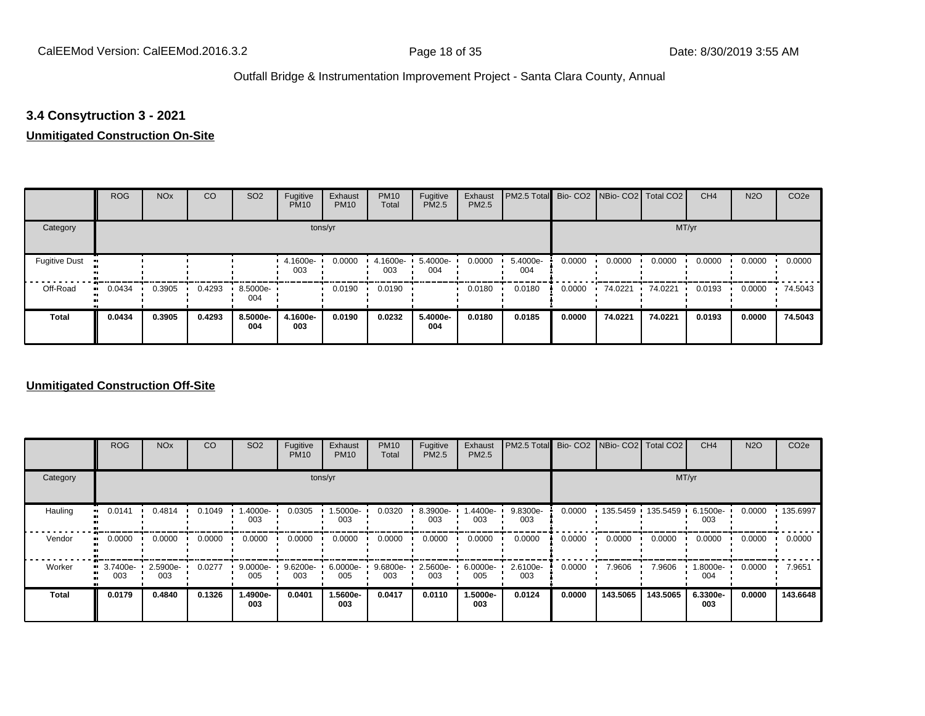#### **3.4 Consytruction 3 - 2021**

#### **Unmitigated Construction On-Site**

|                      | <b>ROG</b>   | <b>NO<sub>x</sub></b> | CO     | SO <sub>2</sub> | Fugitive<br><b>PM10</b> | Exhaust<br><b>PM10</b> | <b>PM10</b><br>Total | Fugitive<br><b>PM2.5</b> | Exhaust<br>PM2.5 | PM2.5 Total Bio- CO2 NBio- CO2 Total CO2 |        |         |         | CH <sub>4</sub> | <b>N2O</b> | CO <sub>2e</sub> |
|----------------------|--------------|-----------------------|--------|-----------------|-------------------------|------------------------|----------------------|--------------------------|------------------|------------------------------------------|--------|---------|---------|-----------------|------------|------------------|
| Category             |              |                       |        |                 | tons/yr                 |                        |                      |                          |                  |                                          |        |         | MT/yr   |                 |            |                  |
| <b>Fugitive Dust</b> |              |                       |        |                 | 4.1600e-<br>003         | 0.0000                 | 4.1600e-<br>003      | 5.4000e-<br>004          | 0.0000           | 5.4000e-<br>004                          | 0.0000 | 0.0000  | 0.0000  | 0.0000          | 0.0000     | 0.0000           |
| Off-Road             | 0.0434<br>ш. | 0.3905                | 0.4293 | 8.5000e-<br>004 |                         | 0.0190                 | 0.0190               |                          | 0.0180           | 0.0180                                   | 0.0000 | 74.0221 | 74.0221 | 0.0193          | 0.0000     | 74.5043          |
| <b>Total</b>         | 0.0434       | 0.3905                | 0.4293 | 8.5000e-<br>004 | 4.1600e-<br>003         | 0.0190                 | 0.0232               | 5.4000e-<br>004          | 0.0180           | 0.0185                                   | 0.0000 | 74.0221 | 74.0221 | 0.0193          | 0.0000     | 74.5043          |

#### **Unmitigated Construction Off-Site**

|              | <b>ROG</b>      | <b>NO<sub>x</sub></b> | CO     | SO <sub>2</sub> | Fugitive<br><b>PM10</b> | Exhaust<br><b>PM10</b> | <b>PM10</b><br>Total | Fugitive<br><b>PM2.5</b> | Exhaust<br>PM2.5 | PM2.5 Total Bio- CO2 NBio- CO2 Total CO2 |        |          |                   | CH <sub>4</sub> | <b>N2O</b> | CO <sub>2e</sub> |
|--------------|-----------------|-----------------------|--------|-----------------|-------------------------|------------------------|----------------------|--------------------------|------------------|------------------------------------------|--------|----------|-------------------|-----------------|------------|------------------|
| Category     |                 |                       |        |                 |                         | tons/yr                |                      |                          |                  |                                          |        |          |                   | MT/yr           |            |                  |
| Hauling      | 0.0141          | 0.4814                | 0.1049 | -.4000e<br>003  | 0.0305                  | 1.5000e-<br>003        | 0.0320               | 8.3900e-<br>003          | 1.4400e-<br>003  | 9.8300e-<br>003                          | 0.0000 |          | 135.5459 135.5459 | 6.1500e-<br>003 | 0.0000     | .135.6997        |
| Vendor       | 0.0000          | 0.0000                | 0.0000 | 0.0000          | 0.0000                  | 0.0000                 | 0.0000               | 0.0000                   | 0.0000           | 0.0000                                   | 0.0000 | 0.0000   | 0.0000            | 0.0000          | 0.0000     | 0.0000           |
| Worker       | 3.7400e-<br>003 | 2.5900e-<br>003       | 0.0277 | 9.0000e-<br>005 | 9.6200e-<br>003         | 6.0000e-<br>005        | $9.6800e -$<br>003   | 2.5600e-<br>003          | 6.0000e-<br>005  | 2.6100e-<br>003                          | 0.0000 | 7.9606   | 7.9606            | 1.8000e-<br>004 | 0.0000     | 7.9651           |
| <b>Total</b> | 0.0179          | 0.4840                | 0.1326 | 1.4900e-<br>003 | 0.0401                  | 1.5600e-<br>003        | 0.0417               | 0.0110                   | 1.5000e-<br>003  | 0.0124                                   | 0.0000 | 143.5065 | 143.5065          | 6.3300e-<br>003 | 0.0000     | 143.6648         |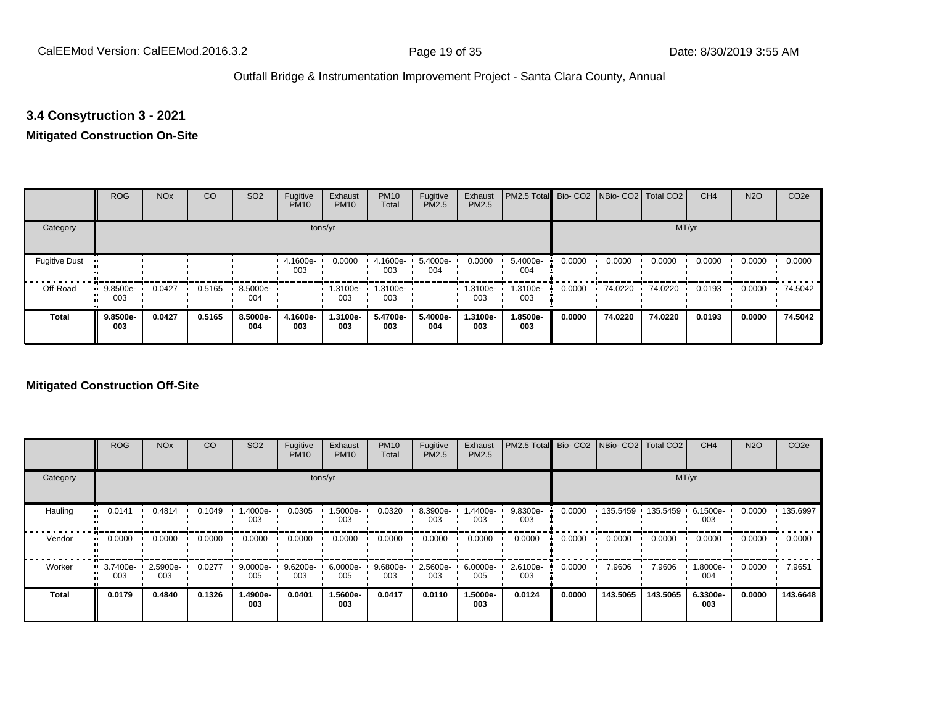# **3.4 Consytruction 3 - 2021**

#### **Mitigated Construction On-Site**

|                      | <b>ROG</b>      | <b>NO<sub>x</sub></b> | CO     | SO <sub>2</sub> | Fugitive<br><b>PM10</b> | Exhaust<br><b>PM10</b> | <b>PM10</b><br>Total | Fugitive<br>PM2.5 | Exhaust<br>PM2.5 | PM2.5 Total Bio- CO2 NBio- CO2 Total CO2 |        |         |         | CH <sub>4</sub> | <b>N2O</b> | CO <sub>2e</sub> |
|----------------------|-----------------|-----------------------|--------|-----------------|-------------------------|------------------------|----------------------|-------------------|------------------|------------------------------------------|--------|---------|---------|-----------------|------------|------------------|
| Category             |                 |                       |        |                 |                         | tons/yr                |                      |                   |                  |                                          |        |         | MT/yr   |                 |            |                  |
| <b>Fugitive Dust</b> |                 |                       |        |                 | 4.1600e-<br>003         | 0.0000                 | 4.1600e-<br>003      | 5.4000e-<br>004   | 0.0000           | 5.4000e-<br>004                          | 0.0000 | 0.0000  | 0.0000  | 0.0000          | 0.0000     | 0.0000           |
| Off-Road             | 9.8500e-<br>003 | 0.0427                | 0.5165 | 8.5000e-<br>004 |                         | 1.3100e-<br>003        | 1.3100e-<br>003      |                   | 1.3100e-<br>003  | 1.3100e-<br>003                          | 0.0000 | 74.0220 | 74.0220 | 0.0193          | 0.0000     | 74.5042          |
| <b>Total</b>         | 9.8500e-<br>003 | 0.0427                | 0.5165 | 8.5000e-<br>004 | 4.1600e-<br>003         | 1.3100e-<br>003        | 5.4700e-<br>003      | 5.4000e-<br>004   | 1.3100e-<br>003  | 1.8500e-<br>003                          | 0.0000 | 74.0220 | 74.0220 | 0.0193          | 0.0000     | 74.5042          |

#### **Mitigated Construction Off-Site**

|              | <b>ROG</b>                   | <b>NO<sub>x</sub></b> | CO     | SO <sub>2</sub> | Fugitive<br><b>PM10</b> | Exhaust<br><b>PM10</b> | <b>PM10</b><br>Total | Fugitive<br><b>PM2.5</b> | Exhaust<br>PM2.5 | PM2.5 Total Bio- CO2 NBio- CO2 Total CO2 |        |          |          | CH <sub>4</sub> | <b>N2O</b> | CO <sub>2e</sub> |
|--------------|------------------------------|-----------------------|--------|-----------------|-------------------------|------------------------|----------------------|--------------------------|------------------|------------------------------------------|--------|----------|----------|-----------------|------------|------------------|
| Category     |                              |                       |        |                 | tons/yr                 |                        |                      |                          |                  |                                          |        |          | MT/yr    |                 |            |                  |
| Hauling<br>œ | 0.0141                       | 0.4814                | 0.1049 | .4000e-<br>003  | 0.0305                  | -5000e-<br>003         | 0.0320               | 8.3900e-<br>003          | -.4400e<br>003   | 9.8300e-<br>003                          | 0.0000 | 135.5459 | 135.5459 | 6.1500e-<br>003 | 0.0000     | .135.6997        |
| Vendor       | 0.0000                       | 0.0000                | 0.0000 | 0.0000          | 0.0000                  | 0.0000                 | 0.0000               | 0.0000                   | 0.0000           | 0.0000                                   | 0.0000 | 0.0000   | 0.0000   | 0.0000          | 0.0000     | 0.0000           |
| Worker       | 3.7400e-<br>$\bullet$<br>003 | 2.5900e-<br>003       | 0.0277 | 9.0000e-<br>005 | 9.6200e-<br>003         | 6.0000e-<br>005        | 9.6800e-<br>003      | 2.5600e-<br>003          | 6.0000e-<br>005  | 2.6100e-<br>003                          | 0.0000 | 7.9606   | 7.9606   | 1.8000e-<br>004 | 0.0000     | 7.9651           |
| <b>Total</b> | 0.0179                       | 0.4840                | 0.1326 | -.4900e<br>003  | 0.0401                  | 1.5600e-<br>003        | 0.0417               | 0.0110                   | -5000e.<br>003   | 0.0124                                   | 0.0000 | 143.5065 | 143.5065 | 6.3300e-<br>003 | 0.0000     | 143.6648         |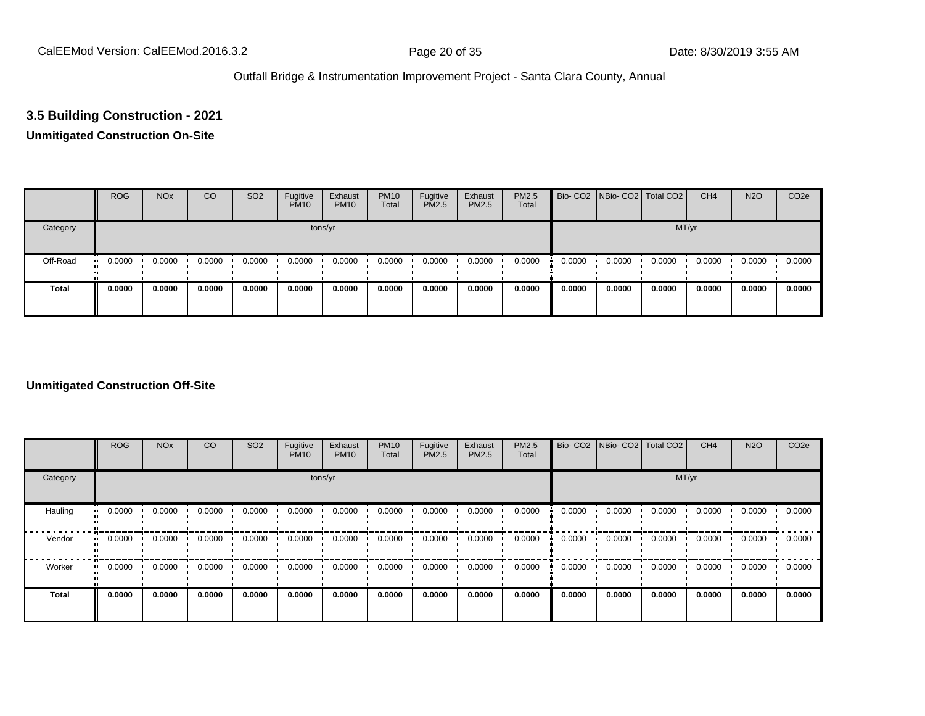# **3.5 Building Construction - 2021**

#### **Unmitigated Construction On-Site**

|              | <b>ROG</b> | <b>NO<sub>x</sub></b> | CO     | SO <sub>2</sub> | Fugitive<br><b>PM10</b> | Exhaust<br><b>PM10</b> | <b>PM10</b><br>Total | Fugitive<br><b>PM2.5</b> | Exhaust<br>PM2.5 | <b>PM2.5</b><br>Total |        | Bio- CO2 NBio- CO2 Total CO2 |        | CH <sub>4</sub> | <b>N2O</b> | CO <sub>2e</sub> |
|--------------|------------|-----------------------|--------|-----------------|-------------------------|------------------------|----------------------|--------------------------|------------------|-----------------------|--------|------------------------------|--------|-----------------|------------|------------------|
| Category     |            |                       |        |                 |                         | tons/yr                |                      |                          |                  |                       |        |                              | MT/yr  |                 |            |                  |
| Off-Road     | 0.0000     | 0.0000                | 0.0000 | 0.0000          | 0.0000                  | 0.0000                 | 0.0000               | 0.0000                   | 0.0000           | 0.0000                | 0.0000 | 0.0000                       | 0.0000 | 0.0000          | 0.0000     | 0.0000           |
| <b>Total</b> | 0.0000     | 0.0000                | 0.0000 | 0.0000          | 0.0000                  | 0.0000                 | 0.0000               | 0.0000                   | 0.0000           | 0.0000                | 0.0000 | 0.0000                       | 0.0000 | 0.0000          | 0.0000     | 0.0000           |

#### **Unmitigated Construction Off-Site**

|                        | <b>ROG</b>               | <b>NO<sub>x</sub></b> | CO     | SO <sub>2</sub> | Fugitive<br><b>PM10</b> | Exhaust<br><b>PM10</b> | <b>PM10</b><br>Total | Fugitive<br><b>PM2.5</b> | Exhaust<br>PM2.5 | PM2.5<br>Total |        |        | Bio- CO2   NBio- CO2   Total CO2 | CH <sub>4</sub> | <b>N2O</b> | CO <sub>2e</sub> |
|------------------------|--------------------------|-----------------------|--------|-----------------|-------------------------|------------------------|----------------------|--------------------------|------------------|----------------|--------|--------|----------------------------------|-----------------|------------|------------------|
| Category               |                          |                       |        |                 | tons/yr                 |                        |                      |                          |                  |                |        |        | MT/yr                            |                 |            |                  |
| Hauling                | 0.0000<br>$\blacksquare$ | 0.0000                | 0.0000 | 0.0000          | 0.0000                  | 0.0000                 | 0.0000               | 0.0000                   | 0.0000           | 0.0000         | 0.0000 | 0.0000 | 0.0000                           | 0.0000          | 0.0000     | 0.0000           |
| Vendor<br>$\mathbf{u}$ | 0.0000                   | 0.0000                | 0.0000 | 0.0000          | 0.0000                  | 0.0000                 | 0.0000               | 0.0000                   | 0.0000           | 0.0000         | 0.0000 | 0.0000 | 0.0000                           | 0.0000          | 0.0000     | 0.0000           |
| Worker                 | 0.0000<br>$\bullet$      | 0.0000                | 0.0000 | 0.0000          | 0.0000                  | 0.0000                 | 0.0000               | 0.0000                   | 0.0000           | 0.0000         | 0.0000 | 0.0000 | 0.0000                           | 0.0000          | 0.0000     | 0.0000           |
| <b>Total</b>           | 0.0000                   | 0.0000                | 0.0000 | 0.0000          | 0.0000                  | 0.0000                 | 0.0000               | 0.0000                   | 0.0000           | 0.0000         | 0.0000 | 0.0000 | 0.0000                           | 0.0000          | 0.0000     | 0.0000           |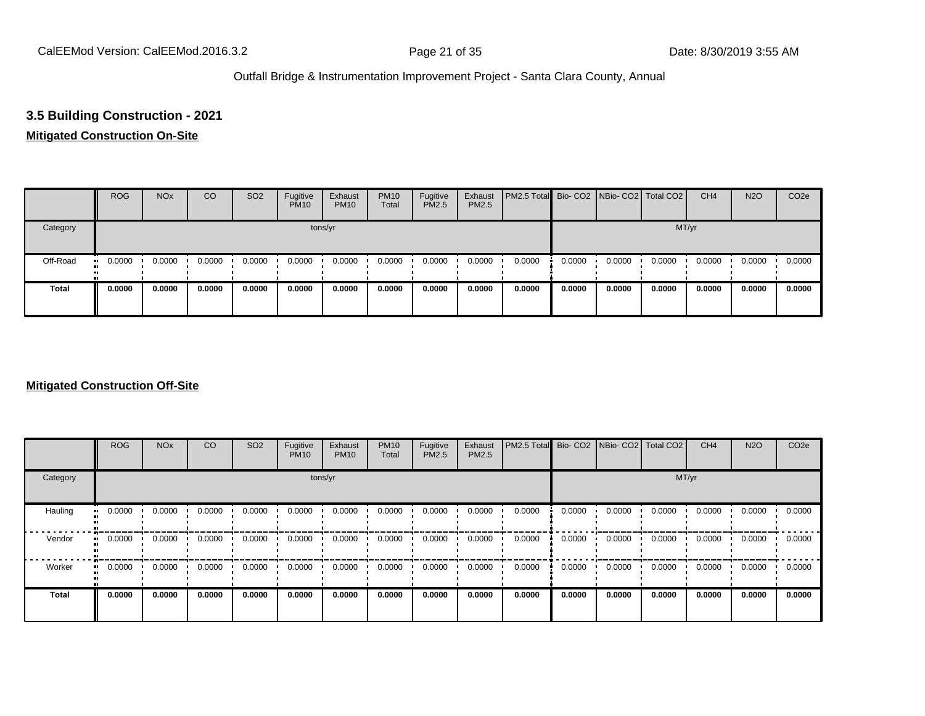# **3.5 Building Construction - 2021**

# **Mitigated Construction On-Site**

|              | <b>ROG</b>          | <b>NO<sub>x</sub></b> | CO     | SO <sub>2</sub> | Fugitive<br><b>PM10</b> | Exhaust<br><b>PM10</b> | <b>PM10</b><br>Total | Fugitive<br><b>PM2.5</b> | Exhaust<br>PM2.5 | <b>PM2.5 Total</b> Bio- CO2 NBio- CO2 Total CO2 |        |        |        | CH <sub>4</sub> | <b>N2O</b> | CO <sub>2e</sub> |
|--------------|---------------------|-----------------------|--------|-----------------|-------------------------|------------------------|----------------------|--------------------------|------------------|-------------------------------------------------|--------|--------|--------|-----------------|------------|------------------|
| Category     |                     |                       |        |                 |                         | tons/yr                |                      |                          |                  |                                                 |        |        | MT/yr  |                 |            |                  |
| Off-Road     | 0.0000<br>$\bullet$ | 0.0000                | 0.0000 | 0.0000          | 0.0000                  | 0.0000                 | 0.0000               | 0.0000                   | 0.0000           | 0.0000                                          | 0.0000 | 0.0000 | 0.0000 | 0.0000          | 0.0000     | 0.0000           |
| <b>Total</b> | 0.0000              | 0.0000                | 0.0000 | 0.0000          | 0.0000                  | 0.0000                 | 0.0000               | 0.0000                   | 0.0000           | 0.0000                                          | 0.0000 | 0.0000 | 0.0000 | 0.0000          | 0.0000     | 0.0000           |

#### **Mitigated Construction Off-Site**

|                          | <b>ROG</b>          | <b>NO<sub>x</sub></b> | CO     | SO <sub>2</sub> | Fugitive<br><b>PM10</b> | Exhaust<br><b>PM10</b> | <b>PM10</b><br>Total | Fugitive<br><b>PM2.5</b> | Exhaust<br>PM2.5 | PM2.5 Total Bio- CO2 NBio- CO2 Total CO2 |        |        |        | CH <sub>4</sub> | <b>N2O</b> | CO <sub>2e</sub> |
|--------------------------|---------------------|-----------------------|--------|-----------------|-------------------------|------------------------|----------------------|--------------------------|------------------|------------------------------------------|--------|--------|--------|-----------------|------------|------------------|
| Category                 |                     |                       |        |                 | tons/yr                 |                        |                      |                          |                  |                                          |        |        | MT/yr  |                 |            |                  |
| Hauling<br>$\bullet$     | 0.0000              | 0.0000                | 0.0000 | 0.0000          | 0.0000                  | 0.0000                 | 0.0000               | 0.0000                   | 0.0000           | 0.0000                                   | 0.0000 | 0.0000 | 0.0000 | 0.0000          | 0.0000     | 0.0000           |
| Vendor<br>$\blacksquare$ | 0.0000              | 0.0000                | 0.0000 | 0.0000          | 0.0000                  | 0.0000                 | 0.0000               | 0.0000                   | 0.0000           | 0.0000                                   | 0.0000 | 0.0000 | 0.0000 | 0.0000          | 0.0000     | 0.0000           |
| Worker                   | 0.0000<br>$\bullet$ | 0.0000                | 0.0000 | 0.0000          | 0.0000                  | 0.0000                 | 0.0000               | 0.0000                   | 0.0000           | 0.0000                                   | 0.0000 | 0.0000 | 0.0000 | 0.0000          | 0.0000     | 0.0000           |
| <b>Total</b>             | 0.0000              | 0.0000                | 0.0000 | 0.0000          | 0.0000                  | 0.0000                 | 0.0000               | 0.0000                   | 0.0000           | 0.0000                                   | 0.0000 | 0.0000 | 0.0000 | 0.0000          | 0.0000     | 0.0000           |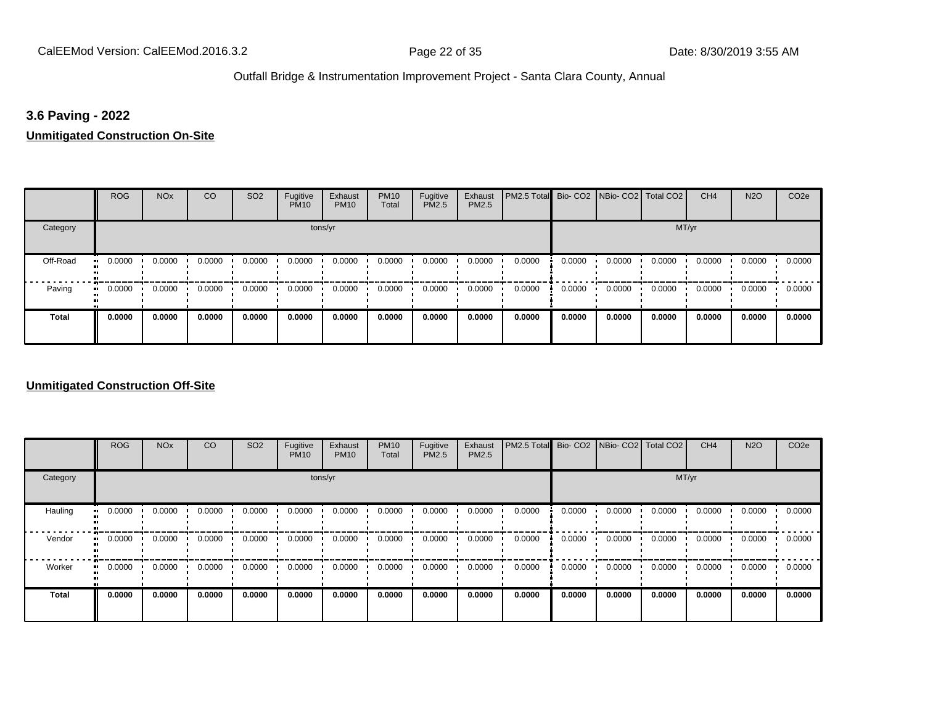#### **3.6 Paving - 2022**

**Unmitigated Construction On-Site**

|              | <b>ROG</b>                 | <b>NO<sub>x</sub></b> | CO     | SO <sub>2</sub> | Fugitive<br><b>PM10</b> | Exhaust<br><b>PM10</b> | <b>PM10</b><br>Total | Fugitive<br><b>PM2.5</b> | Exhaust<br><b>PM2.5</b> | PM2.5 Total Bio- CO2 NBio- CO2 Total CO2 |        |        |        | CH <sub>4</sub> | <b>N2O</b> | CO <sub>2e</sub> |
|--------------|----------------------------|-----------------------|--------|-----------------|-------------------------|------------------------|----------------------|--------------------------|-------------------------|------------------------------------------|--------|--------|--------|-----------------|------------|------------------|
| Category     |                            |                       |        |                 |                         | tons/yr                |                      |                          |                         |                                          |        |        | MT/yr  |                 |            |                  |
| Off-Road     | 0.0000<br>$\blacksquare$   | 0.0000                | 0.0000 | 0.0000          | 0.0000                  | 0.0000                 | 0.0000               | 0.0000                   | 0.0000                  | 0.0000                                   | 0.0000 | 0.0000 | 0.0000 | 0.0000          | 0.0000     | 0.0000           |
| Paving       | 0.0000<br>$\bullet\bullet$ | 0.0000                | 0.0000 | 0.0000          | 0.0000                  | 0.0000                 | 0.0000               | 0.0000                   | 0.0000                  | 0.0000                                   | 0.0000 | 0.0000 | 0.0000 | 0.0000          | 0.0000     | 0.0000           |
| <b>Total</b> | 0.0000                     | 0.0000                | 0.0000 | 0.0000          | 0.0000                  | 0.0000                 | 0.0000               | 0.0000                   | 0.0000                  | 0.0000                                   | 0.0000 | 0.0000 | 0.0000 | 0.0000          | 0.0000     | 0.0000           |

#### **Unmitigated Construction Off-Site**

|                           | <b>ROG</b>          | <b>NO<sub>x</sub></b> | CO     | SO <sub>2</sub> | Fugitive<br><b>PM10</b> | Exhaust<br><b>PM10</b> | <b>PM10</b><br>Total | Fugitive<br><b>PM2.5</b> | Exhaust<br>PM2.5 | PM2.5 Total Bio- CO2 NBio- CO2 Total CO2 |        |        |        | CH <sub>4</sub> | <b>N2O</b> | CO <sub>2e</sub> |
|---------------------------|---------------------|-----------------------|--------|-----------------|-------------------------|------------------------|----------------------|--------------------------|------------------|------------------------------------------|--------|--------|--------|-----------------|------------|------------------|
| Category                  |                     |                       |        |                 | tons/yr                 |                        |                      |                          |                  |                                          |        |        | MT/yr  |                 |            |                  |
| Hauling<br>$\blacksquare$ | 0.0000              | 0.0000                | 0.0000 | 0.0000          | 0.0000                  | 0.0000                 | 0.0000               | 0.0000                   | 0.0000           | 0.0000                                   | 0.0000 | 0.0000 | 0.0000 | 0.0000          | 0.0000     | 0.0000           |
| Vendor<br>$\mathbf{u}$    | 0.0000              | 0.0000                | 0.0000 | 0.0000          | 0.0000                  | 0.0000                 | 0.0000               | 0.0000                   | 0.0000           | 0.0000                                   | 0.0000 | 0.0000 | 0.0000 | 0.0000          | 0.0000     | 0.0000           |
| Worker                    | 0.0000<br>$\bullet$ | 0.0000                | 0.0000 | 0.0000          | 0.0000                  | 0.0000                 | 0.0000               | 0.0000                   | 0.0000           | 0.0000                                   | 0.0000 | 0.0000 | 0.0000 | 0.0000          | 0.0000     | 0.0000           |
| <b>Total</b>              | 0.0000              | 0.0000                | 0.0000 | 0.0000          | 0.0000                  | 0.0000                 | 0.0000               | 0.0000                   | 0.0000           | 0.0000                                   | 0.0000 | 0.0000 | 0.0000 | 0.0000          | 0.0000     | 0.0000           |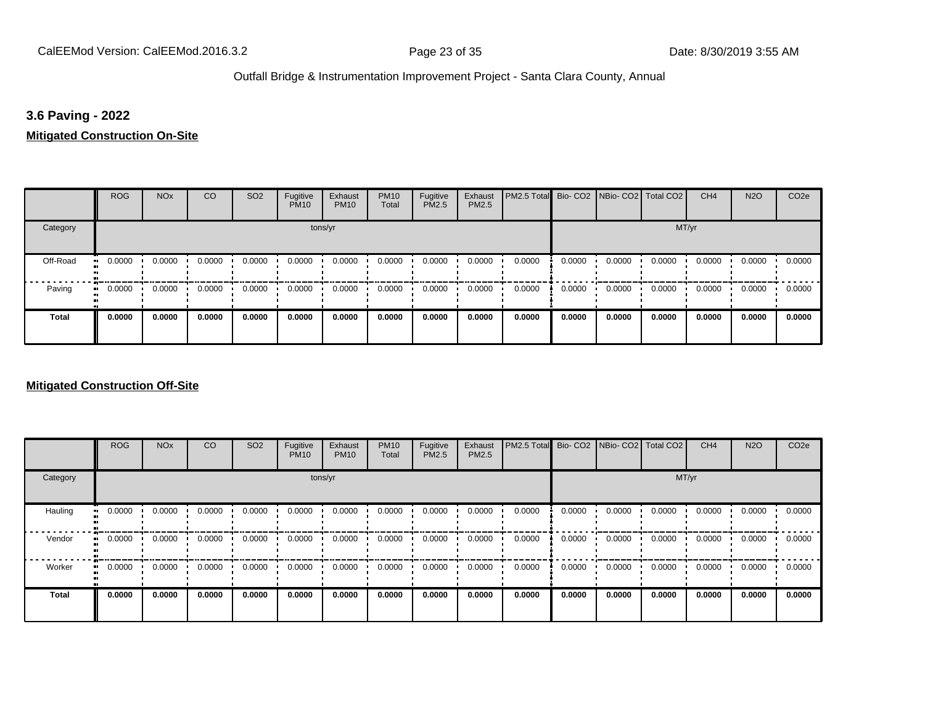#### **3.6 Paving - 2022**

**Mitigated Construction On-Site**

|              | <b>ROG</b>          | <b>NO<sub>x</sub></b> | CO     | SO <sub>2</sub> | Fugitive<br><b>PM10</b> | Exhaust<br><b>PM10</b> | <b>PM10</b><br>Total | Fugitive<br>PM2.5 | Exhaust<br>PM2.5 | PM2.5 Total Bio- CO2 NBio- CO2 Total CO2 |        |        |        | CH <sub>4</sub> | <b>N2O</b> | CO <sub>2e</sub> |
|--------------|---------------------|-----------------------|--------|-----------------|-------------------------|------------------------|----------------------|-------------------|------------------|------------------------------------------|--------|--------|--------|-----------------|------------|------------------|
| Category     |                     |                       |        |                 | tons/yr                 |                        |                      |                   |                  |                                          |        |        | MT/yr  |                 |            |                  |
| Off-Road     | 0.0000<br>$\bullet$ | 0.0000                | 0.0000 | 0.0000          | 0.0000                  | 0.0000                 | 0.0000               | 0.0000            | 0.0000           | 0.0000                                   | 0.0000 | 0.0000 | 0.0000 | 0.0000          | 0.0000     | 0.0000           |
| Paving       | 0.0000<br>ш.        | 0.0000                | 0.0000 | 0.0000          | 0.0000                  | 0.0000                 | 0.0000               | 0.0000            | 0.0000           | 0.0000                                   | 0.0000 | 0.0000 | 0.0000 | 0.0000          | 0.0000     | 0.0000           |
| <b>Total</b> | 0.0000              | 0.0000                | 0.0000 | 0.0000          | 0.0000                  | 0.0000                 | 0.0000               | 0.0000            | 0.0000           | 0.0000                                   | 0.0000 | 0.0000 | 0.0000 | 0.0000          | 0.0000     | 0.0000           |

#### **Mitigated Construction Off-Site**

|                            | <b>ROG</b> | <b>NO<sub>x</sub></b> | CO     | SO <sub>2</sub> | Fugitive<br><b>PM10</b> | Exhaust<br><b>PM10</b> | <b>PM10</b><br>Total | Fugitive<br><b>PM2.5</b> | Exhaust<br>PM2.5 | PM2.5 Total |        | Bio- CO2   NBio- CO2   Total CO2 |        | CH <sub>4</sub> | <b>N2O</b> | CO <sub>2e</sub> |
|----------------------------|------------|-----------------------|--------|-----------------|-------------------------|------------------------|----------------------|--------------------------|------------------|-------------|--------|----------------------------------|--------|-----------------|------------|------------------|
| Category                   |            |                       |        |                 | tons/yr                 |                        |                      |                          |                  |             |        |                                  | MT/yr  |                 |            |                  |
| Hauling<br>$\bullet$       | 0.0000     | 0.0000                | 0.0000 | 0.0000          | 0.0000                  | 0.0000                 | 0.0000               | 0.0000                   | 0.0000           | 0.0000      | 0.0000 | 0.0000                           | 0.0000 | 0.0000          | 0.0000     | 0.0000           |
| Vendor<br>$\bullet\bullet$ | 0.0000     | 0.0000                | 0.0000 | 0.0000          | 0.0000                  | 0.0000                 | 0.0000               | 0.0000                   | 0.0000           | 0.0000      | 0.0000 | 0.0000                           | 0.0000 | 0.0000          | 0.0000     | 0.0000           |
| Worker<br>$\bullet\bullet$ | 0.0000     | 0.0000                | 0.0000 | 0.0000          | 0.0000                  | 0.0000                 | 0.0000               | 0.0000                   | 0.0000           | 0.0000      | 0.0000 | 0.0000                           | 0.0000 | 0.0000          | 0.0000     | 0.0000           |
| <b>Total</b>               | 0.0000     | 0.0000                | 0.0000 | 0.0000          | 0.0000                  | 0.0000                 | 0.0000               | 0.0000                   | 0.0000           | 0.0000      | 0.0000 | 0.0000                           | 0.0000 | 0.0000          | 0.0000     | 0.0000           |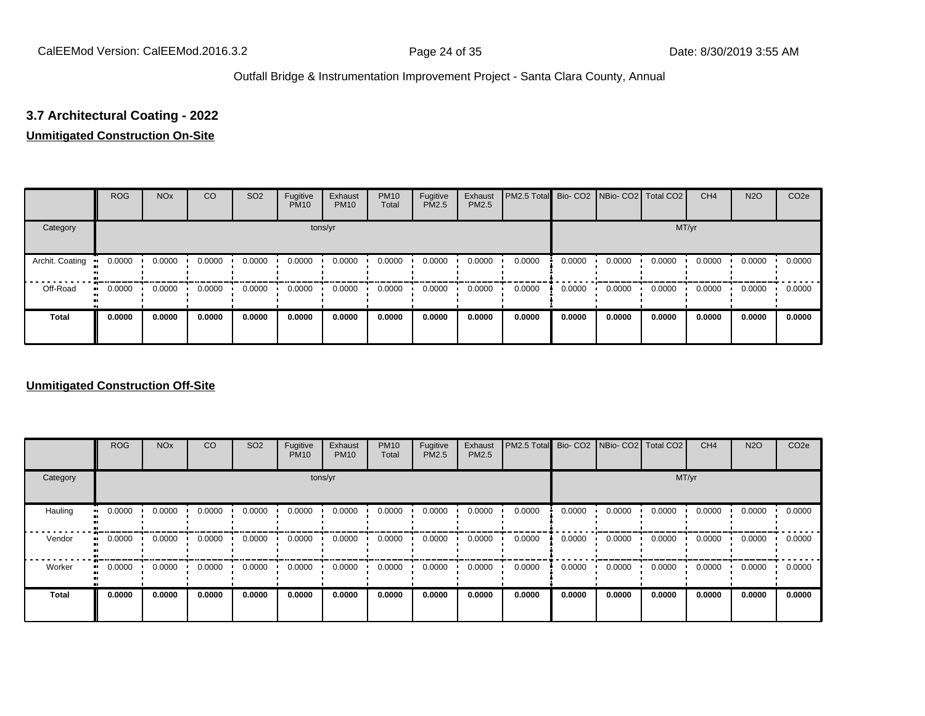# **3.7 Architectural Coating - 2022**

#### **Unmitigated Construction On-Site**

|                 | <b>ROG</b>   | <b>NO<sub>x</sub></b> | CO     | SO <sub>2</sub> | Fugitive<br><b>PM10</b> | Exhaust<br><b>PM10</b> | <b>PM10</b><br>Total | Fugitive<br><b>PM2.5</b> | Exhaust<br>PM2.5 | PM2.5 Total Bio- CO2 NBio- CO2   Total CO2 |        |        |        | CH <sub>4</sub> | <b>N2O</b> | CO <sub>2e</sub> |
|-----------------|--------------|-----------------------|--------|-----------------|-------------------------|------------------------|----------------------|--------------------------|------------------|--------------------------------------------|--------|--------|--------|-----------------|------------|------------------|
| Category        |              |                       |        |                 | tons/yr                 |                        |                      |                          |                  |                                            |        |        | MT/yr  |                 |            |                  |
| Archit. Coating | 0.0000       | 0.0000                | 0.0000 | 0.0000          | 0.0000                  | 0.0000                 | 0.0000               | 0.0000                   | 0.0000           | 0.0000                                     | 0.0000 | 0.0000 | 0.0000 | 0.0000          | 0.0000     | 0.0000           |
| Off-Road        | 0.0000<br>ш. | 0.0000                | 0.0000 | 0.0000          | 0.0000                  | 0.0000                 | 0.0000               | 0.0000                   | 0.0000           | 0.0000                                     | 0.0000 | 0.0000 | 0.0000 | 0.0000          | 0.0000     | 0.0000           |
| <b>Total</b>    | 0.0000       | 0.0000                | 0.0000 | 0.0000          | 0.0000                  | 0.0000                 | 0.0000               | 0.0000                   | 0.0000           | 0.0000                                     | 0.0000 | 0.0000 | 0.0000 | 0.0000          | 0.0000     | 0.0000           |

#### **Unmitigated Construction Off-Site**

|                           | <b>ROG</b>          | <b>NO<sub>x</sub></b> | CO     | SO <sub>2</sub> | Fugitive<br><b>PM10</b> | Exhaust<br><b>PM10</b> | <b>PM10</b><br>Total | Fugitive<br><b>PM2.5</b> | Exhaust<br>PM2.5 | PM2.5 Total Bio- CO2 NBio- CO2 Total CO2 |        |        |        | CH <sub>4</sub> | <b>N2O</b> | CO <sub>2e</sub> |
|---------------------------|---------------------|-----------------------|--------|-----------------|-------------------------|------------------------|----------------------|--------------------------|------------------|------------------------------------------|--------|--------|--------|-----------------|------------|------------------|
| Category                  |                     |                       |        |                 | tons/yr                 |                        |                      |                          |                  |                                          |        |        | MT/yr  |                 |            |                  |
| Hauling<br>$\blacksquare$ | 0.0000              | 0.0000                | 0.0000 | 0.0000          | 0.0000                  | 0.0000                 | 0.0000               | 0.0000                   | 0.0000           | 0.0000                                   | 0.0000 | 0.0000 | 0.0000 | 0.0000          | 0.0000     | 0.0000           |
| Vendor<br>$\mathbf{u}$    | 0.0000              | 0.0000                | 0.0000 | 0.0000          | 0.0000                  | 0.0000                 | 0.0000               | 0.0000                   | 0.0000           | 0.0000                                   | 0.0000 | 0.0000 | 0.0000 | 0.0000          | 0.0000     | 0.0000           |
| Worker                    | 0.0000<br>$\bullet$ | 0.0000                | 0.0000 | 0.0000          | 0.0000                  | 0.0000                 | 0.0000               | 0.0000                   | 0.0000           | 0.0000                                   | 0.0000 | 0.0000 | 0.0000 | 0.0000          | 0.0000     | 0.0000           |
| <b>Total</b>              | 0.0000              | 0.0000                | 0.0000 | 0.0000          | 0.0000                  | 0.0000                 | 0.0000               | 0.0000                   | 0.0000           | 0.0000                                   | 0.0000 | 0.0000 | 0.0000 | 0.0000          | 0.0000     | 0.0000           |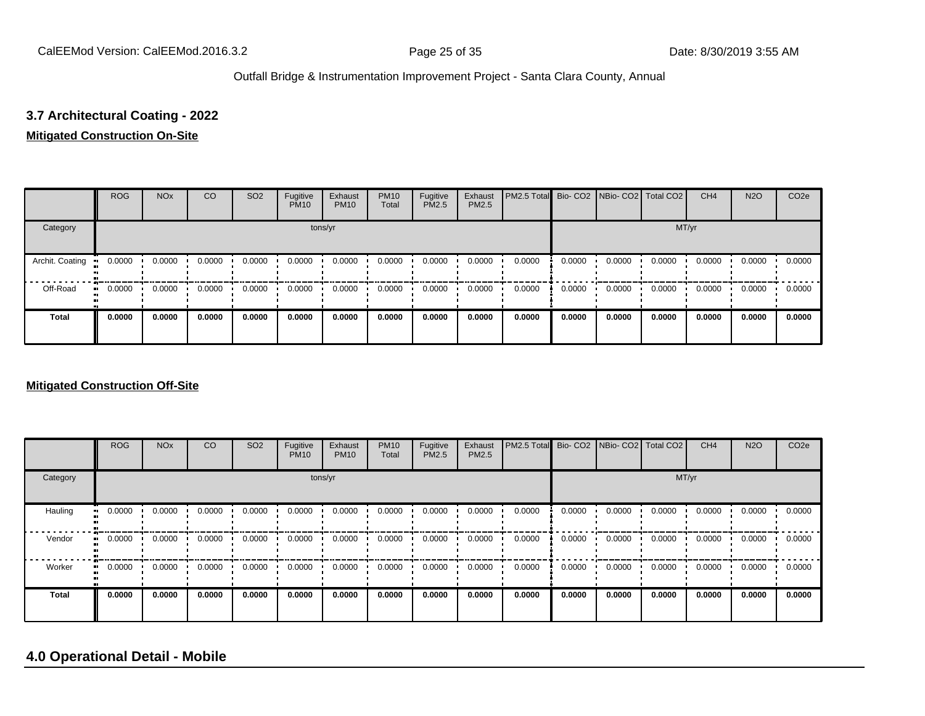# **3.7 Architectural Coating - 2022**

#### **Mitigated Construction On-Site**

|                 | <b>ROG</b> | <b>NO<sub>x</sub></b> | CO     | SO <sub>2</sub> | Fugitive<br><b>PM10</b> | Exhaust<br><b>PM10</b> | <b>PM10</b><br>Total | Fugitive<br><b>PM2.5</b> | Exhaust<br>PM2.5 | PM2.5 Total Bio- CO2 NBio- CO2   Total CO2 |        |        |        | CH <sub>4</sub> | <b>N2O</b> | CO <sub>2e</sub> |
|-----------------|------------|-----------------------|--------|-----------------|-------------------------|------------------------|----------------------|--------------------------|------------------|--------------------------------------------|--------|--------|--------|-----------------|------------|------------------|
| Category        |            |                       |        |                 |                         | tons/yr                |                      |                          |                  |                                            |        |        | MT/yr  |                 |            |                  |
| Archit. Coating | 0.0000     | 0.0000                | 0.0000 | 0.0000          | 0.0000                  | 0.0000                 | 0.0000               | 0.0000                   | 0.0000           | 0.0000                                     | 0.0000 | 0.0000 | 0.0000 | 0.0000          | 0.0000     | 0.0000           |
| Off-Road        | 0.0000     | 0.0000                | 0.0000 | 0.0000          | 0.0000                  | 0.0000                 | 0.0000               | 0.0000                   | 0.0000           | 0.0000                                     | 0.0000 | 0.0000 | 0.0000 | 0.0000          | 0.0000     | 0.0000           |
| <b>Total</b>    | 0.0000     | 0.0000                | 0.0000 | 0.0000          | 0.0000                  | 0.0000                 | 0.0000               | 0.0000                   | 0.0000           | 0.0000                                     | 0.0000 | 0.0000 | 0.0000 | 0.0000          | 0.0000     | 0.0000           |

#### **Mitigated Construction Off-Site**

|                        | <b>ROG</b>          | <b>NO<sub>x</sub></b> | CO     | SO <sub>2</sub> | Fugitive<br><b>PM10</b> | Exhaust<br><b>PM10</b> | <b>PM10</b><br>Total | Fugitive<br><b>PM2.5</b> | Exhaust<br>PM2.5 | PM2.5 Total Bio- CO2 NBio- CO2 Total CO2 |        |        |        | CH <sub>4</sub> | <b>N2O</b> | CO <sub>2e</sub> |
|------------------------|---------------------|-----------------------|--------|-----------------|-------------------------|------------------------|----------------------|--------------------------|------------------|------------------------------------------|--------|--------|--------|-----------------|------------|------------------|
| Category               |                     |                       |        |                 | tons/yr                 |                        |                      |                          |                  |                                          |        |        | MT/yr  |                 |            |                  |
| Hauling                | 0.0000<br>$\bullet$ | 0.0000                | 0.0000 | 0.0000          | 0.0000                  | 0.0000                 | 0.0000               | 0.0000                   | 0.0000           | 0.0000                                   | 0.0000 | 0.0000 | 0.0000 | 0.0000          | 0.0000     | 0.0000           |
| Vendor<br>$\mathbf{u}$ | 0.0000              | 0.0000                | 0.0000 | 0.0000          | 0.0000                  | 0.0000                 | 0.0000               | 0.0000                   | 0.0000           | 0.0000                                   | 0.0000 | 0.0000 | 0.0000 | 0.0000          | 0.0000     | 0.0000           |
| Worker                 | 0.0000<br>$\bullet$ | 0.0000                | 0.0000 | 0.0000          | 0.0000                  | 0.0000                 | 0.0000               | 0.0000                   | 0.0000           | 0.0000                                   | 0.0000 | 0.0000 | 0.0000 | 0.0000          | 0.0000     | 0.0000           |
| <b>Total</b>           | 0.0000              | 0.0000                | 0.0000 | 0.0000          | 0.0000                  | 0.0000                 | 0.0000               | 0.0000                   | 0.0000           | 0.0000                                   | 0.0000 | 0.0000 | 0.0000 | 0.0000          | 0.0000     | 0.0000           |

# **4.0 Operational Detail - Mobile**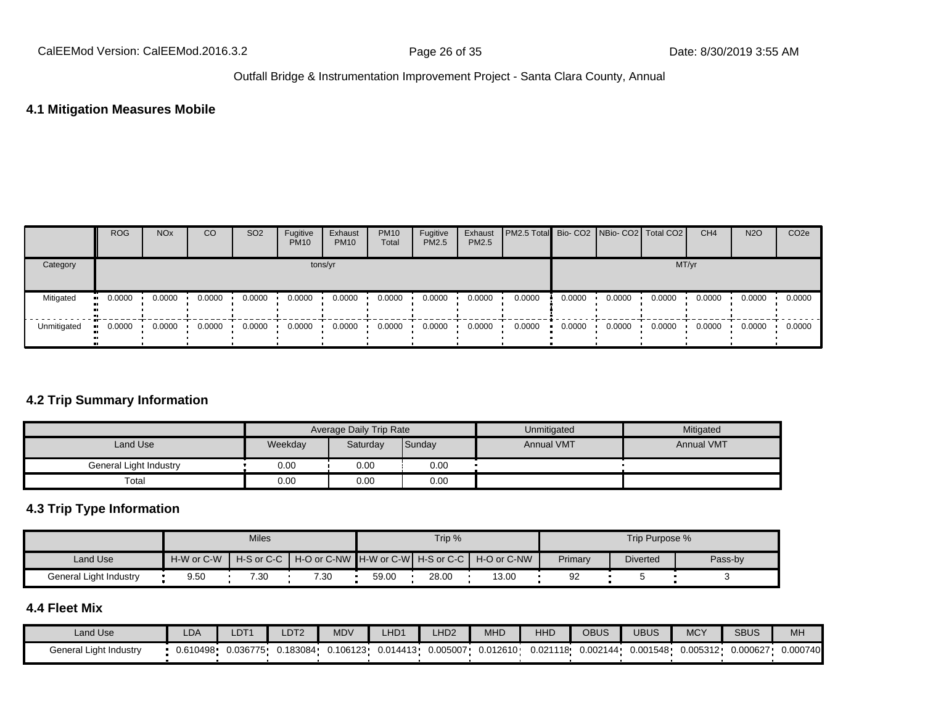#### **4.1 Mitigation Measures Mobile**

|             | <b>ROG</b> | <b>NO<sub>x</sub></b> | CO     | SO <sub>2</sub> | Fugitive<br><b>PM10</b> | Exhaust<br><b>PM10</b> | <b>PM10</b><br>Total | Fugitive<br><b>PM2.5</b> | Exhaust<br>PM2.5 | <b>PM2.5 Total</b> Bio- CO2 NBio- CO2   Total CO2 |        |        |        | CH <sub>4</sub> | <b>N2O</b> | CO <sub>2e</sub> |
|-------------|------------|-----------------------|--------|-----------------|-------------------------|------------------------|----------------------|--------------------------|------------------|---------------------------------------------------|--------|--------|--------|-----------------|------------|------------------|
| Category    |            |                       |        |                 | tons/yr                 |                        |                      |                          |                  |                                                   |        |        | MT/yr  |                 |            |                  |
| Mitigated   | 0.0000     | 0.0000                | 0.0000 | 0.0000          | 0.0000                  | 0.0000                 | 0.0000               | 0.0000                   | 0.0000           | 0.0000                                            | 0.0000 | 0.0000 | 0.0000 | 0.0000          | 0.0000     | 0.0000           |
| Unmitigated | 0.0000     | 0.0000                | 0.0000 | 0.0000          | 0.0000                  | 0.0000                 | 0.0000               | 0.0000                   | 0.0000           | 0.0000                                            | 0.0000 | 0.0000 | 0.0000 | 0.0000          | 0.0000     | 0.0000           |

#### **4.2 Trip Summary Information**

|                        |         | <b>Average Daily Trip Rate</b> |        | Unmitigated       | Mitigated         |
|------------------------|---------|--------------------------------|--------|-------------------|-------------------|
| Land Use               | Weekday | Saturday                       | Sunday | <b>Annual VMT</b> | <b>Annual VMT</b> |
| General Light Industry | 0.00    | 0.00                           | 0.00   |                   |                   |
| Total                  | 0.00    | 0.00                           | 0.00   |                   |                   |

# **4.3 Trip Type Information**

|                        |            | <b>Miles</b> |                                                                |       | Trip % |       |         | Trip Purpose %  |         |
|------------------------|------------|--------------|----------------------------------------------------------------|-------|--------|-------|---------|-----------------|---------|
| Land Use               | H-W or C-W |              | H-S or C-C │ H-O or C-NW ┃H-W or C-W┃ H-S or C-C ┃ H-O or C-NW |       |        |       | Primary | <b>Diverted</b> | Pass-by |
| General Light Industry | 9.50       | 7.30         | 7.30                                                           | 59.00 | 28.00  | 13.00 | 92      |                 |         |

#### **4.4 Fleet Mix**

| Land Use               | LDA      | LDT <sup>1</sup> | LDT <sub>2</sub> | <b>MDV</b> | LHD <sub>1</sub> | LHD <sub>2</sub> | MHD      | HHD      | OBUS     | UBUS     | <b>MCY</b> | <b>SBUS</b> | MH       |
|------------------------|----------|------------------|------------------|------------|------------------|------------------|----------|----------|----------|----------|------------|-------------|----------|
| General Light Industry | 0.610498 | 0.036775         | J.183084         | 0.106123   | 0.014413         | 0.005007         | 0.012610 | 0.021118 | 0.002144 | 0.001548 | 0.005312   | 0.000627    | 0.000740 |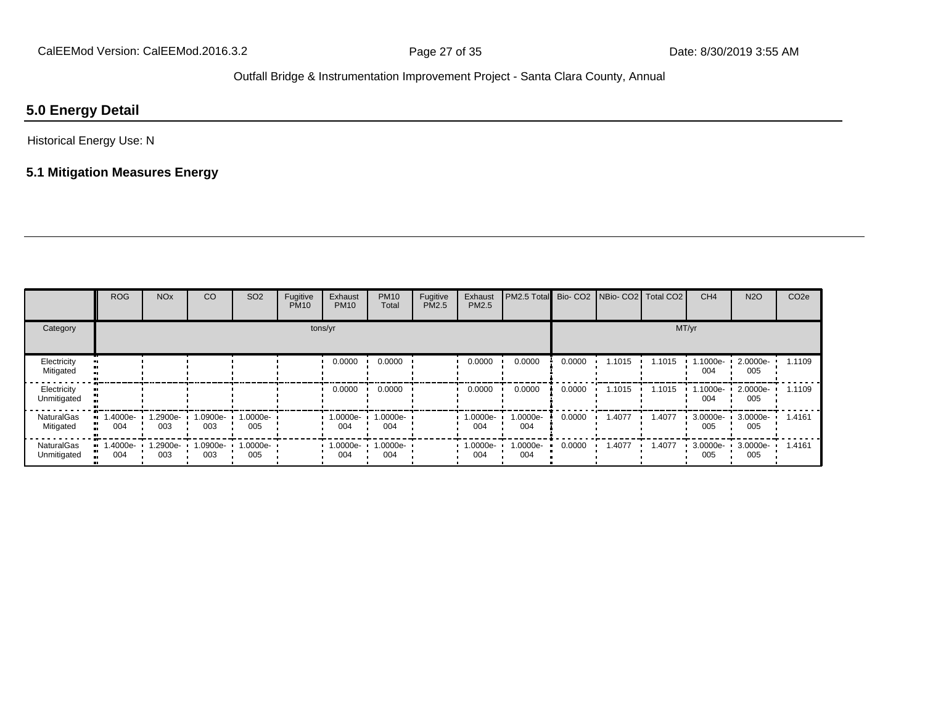# **5.0 Energy Detail**

Historical Energy Use: N

# **5.1 Mitigation Measures Energy**

|                                  | <b>ROG</b>      | <b>NO<sub>x</sub></b> | CO              | SO <sub>2</sub>    | Fugitive<br><b>PM10</b> | Exhaust<br><b>PM10</b> | <b>PM10</b><br>Total | Fugitive<br>PM2.5 | Exhaust<br>PM2.5 | PM2.5 Total Bio- CO2 NBio- CO2 Total CO2 |        |        |        | CH <sub>4</sub> | <b>N2O</b>      | CO <sub>2e</sub> |
|----------------------------------|-----------------|-----------------------|-----------------|--------------------|-------------------------|------------------------|----------------------|-------------------|------------------|------------------------------------------|--------|--------|--------|-----------------|-----------------|------------------|
| Category                         |                 |                       |                 |                    |                         | tons/yr                |                      |                   |                  |                                          |        |        |        | MT/yr           |                 |                  |
| Electricity<br>Mitigated         |                 |                       |                 |                    |                         | 0.0000                 | 0.0000               |                   | 0.0000           | 0.0000                                   | 0.0000 | 1.1015 | 1.1015 | 1.1000e-<br>004 | 2.0000e-<br>005 | 1.1109           |
| Electricity<br>Unmitigated       |                 |                       |                 |                    |                         | 0.0000                 | 0.0000               |                   | 0.0000           | 0.0000                                   | 0.0000 | 1.1015 | 1.1015 | 1.1000e-<br>004 | 2.0000e-<br>005 | 1.1109           |
| <b>NaturalGas</b><br>Mitigated   | 1.4000e-<br>004 | -2900e.<br>003        | 1.0900e-<br>003 | $1.0000e -$<br>005 |                         | 1.0000e-<br>004        | 1.0000e-<br>004      |                   | 1.0000e-<br>004  | 1.0000e-<br>004                          | 0.0000 | 1.4077 | 1.4077 | 3.0000e-<br>005 | 3.0000e-<br>005 | 1.4161           |
| <b>NaturalGas</b><br>Unmitigated | 1.4000e-<br>004 | -900e-1.<br>003       | 1.0900e-<br>003 | $1.0000e -$<br>005 |                         | 1.0000e-<br>004        | 1.0000e-<br>004      |                   | 1.0000e-<br>004  | 1.0000e-<br>004                          | 0.0000 | 1.4077 | 1.4077 | 3.0000e-<br>005 | 3.0000e-<br>005 | 1.4161           |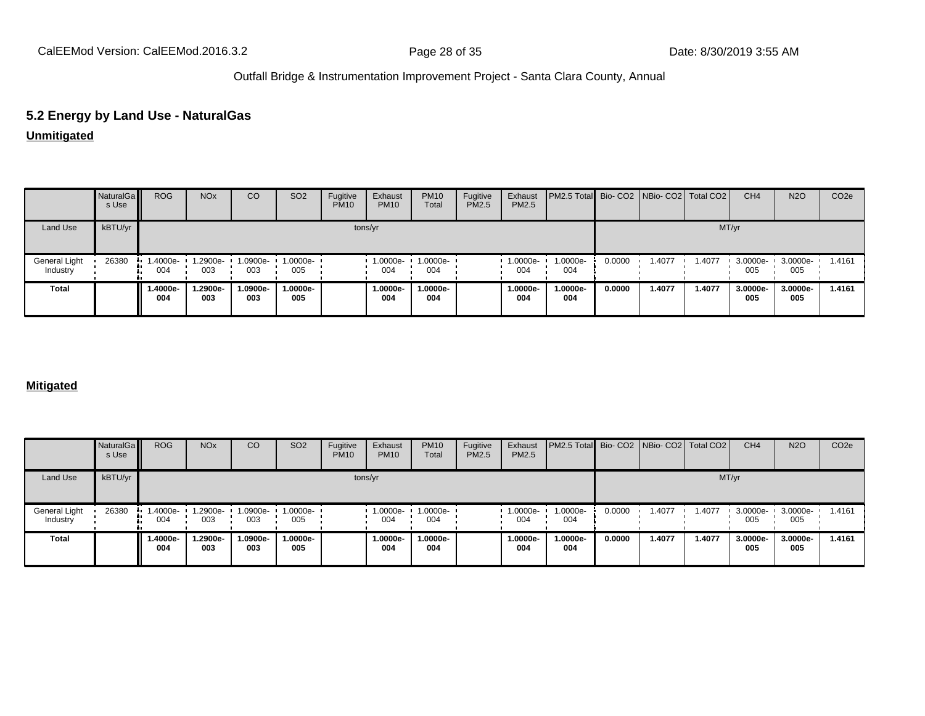# **5.2 Energy by Land Use - NaturalGas**

#### **Unmitigated**

|                           | NaturalGa<br>s Use | <b>ROG</b>      | <b>NO<sub>x</sub></b> | CO              | SO <sub>2</sub> | Fugitive<br><b>PM10</b> | Exhaust<br><b>PM10</b> | <b>PM10</b><br>Total | Fugitive<br>PM2.5 | Exhaust<br><b>PM2.5</b> | PM2.5 Total Bio- CO2 NBio- CO2 Total CO2 |        |        |        | CH <sub>4</sub> | <b>N2O</b>      | CO <sub>2e</sub> |
|---------------------------|--------------------|-----------------|-----------------------|-----------------|-----------------|-------------------------|------------------------|----------------------|-------------------|-------------------------|------------------------------------------|--------|--------|--------|-----------------|-----------------|------------------|
| Land Use                  | kBTU/yr            |                 |                       |                 |                 |                         | tons/yr                |                      |                   |                         |                                          |        |        | MT/yr  |                 |                 |                  |
| General Light<br>Industry | 26380              | 1.4000e-<br>004 | 1.2900e-<br>003       | 1.0900e-<br>003 | 1.0000e-<br>005 |                         | 1.0000e-<br>004        | 1.0000e-<br>004      |                   | 1.0000e-<br>004         | -.0000e<br>004                           | 0.0000 | 1.4077 | 1.4077 | 3.0000e-<br>005 | 3.0000e-<br>005 | 1.4161           |
| <b>Total</b>              |                    | 1.4000e-<br>004 | .2900e-<br>003        | 1.0900e-<br>003 | 1.0000e-<br>005 |                         | 1.0000e-<br>004        | 1.0000e-<br>004      |                   | 1.0000e-<br>004         | -.0000e<br>004                           | 0.0000 | 1.4077 | 1.4077 | 3.0000e-<br>005 | 3.0000e-<br>005 | 1.4161           |

#### **Mitigated**

|                           | NaturalGa<br>s Use | <b>ROG</b>      | <b>NO<sub>x</sub></b> | <b>CO</b>       | SO <sub>2</sub>          | Fugitive<br><b>PM10</b> | Exhaust<br><b>PM10</b>           | <b>PM10</b><br>Total | Fugitive<br><b>PM2.5</b> | Exhaust<br>PM2.5 | <b>PM2.5 Total</b> Bio- CO2 NBio- CO2   Total CO2 |        |        |        | CH <sub>4</sub> | <b>N2O</b>      | CO <sub>2e</sub> |
|---------------------------|--------------------|-----------------|-----------------------|-----------------|--------------------------|-------------------------|----------------------------------|----------------------|--------------------------|------------------|---------------------------------------------------|--------|--------|--------|-----------------|-----------------|------------------|
| Land Use                  | kBTU/yr            |                 |                       |                 |                          |                         | tons/yr                          |                      |                          |                  |                                                   |        |        | MT/yr  |                 |                 |                  |
| General Light<br>Industry | 26380              | 1.4000e-<br>004 | 1.2900e-<br>003       | 003             | 1.0900e- 1.0000e-<br>005 |                         | $\cdot$ 1.0000e- 1.0000e-<br>004 | 004                  |                          | 1.0000e-<br>004  | 1.0000e-<br>004                                   | 0.0000 | .4077  | 1.4077 | 3.0000e-<br>005 | 3.0000e-<br>005 | 1.4161           |
| Total                     |                    | 1.4000e-<br>004 | 1.2900e-<br>003       | 1.0900e-<br>003 | 1.0000e-<br>005          |                         | 1.0000e-<br>004                  | 1.0000e-<br>004      |                          | 1.0000e-<br>004  | $.0000e-$<br>004                                  | 0.0000 | 1.4077 | 1.4077 | 3.0000e-<br>005 | 3.0000e-<br>005 | 1.4161           |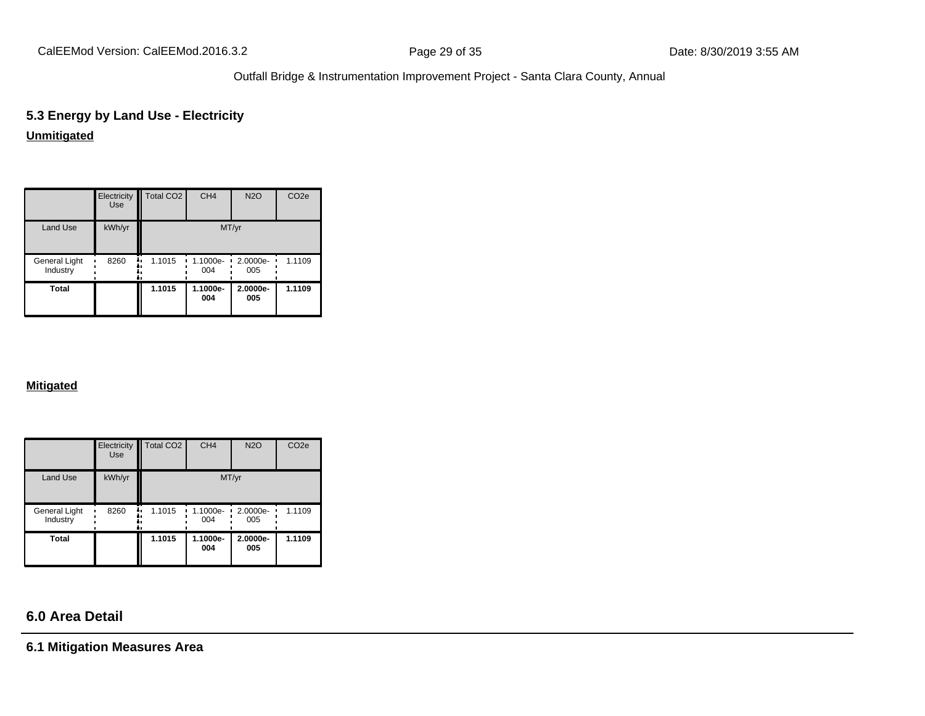# **5.3 Energy by Land Use - Electricity**

# **Unmitigated**

|                           | Electricity<br><b>Use</b> | Total CO <sub>2</sub> | CH <sub>4</sub> | <b>N2O</b>      | CO <sub>2e</sub> |
|---------------------------|---------------------------|-----------------------|-----------------|-----------------|------------------|
| Land Use                  | kWh/yr                    |                       | MT/yr           |                 |                  |
| General Light<br>Industry | 8260                      | 1.1015<br>۰.          | 1.1000e-<br>004 | 2.0000e-<br>005 | 1.1109           |
| <b>Total</b>              |                           | 1.1015                | 1.1000e-<br>004 | 2.0000e-<br>005 | 1.1109           |

#### **Mitigated**

|                           | Electricity<br><b>Use</b> | Total CO <sub>2</sub> | CH <sub>4</sub> | <b>N2O</b>         | CO <sub>2e</sub> |
|---------------------------|---------------------------|-----------------------|-----------------|--------------------|------------------|
| <b>Land Use</b>           | kWh/yr                    |                       | MT/yr           |                    |                  |
| General Light<br>Industry | 8260<br>ı.<br>۰.          | 1.1015<br>٠.<br>٠     | 1.1000e-<br>004 | $2.0000e -$<br>005 | 1.1109           |
| <b>Total</b>              |                           | 1.1015                | 1.1000e-<br>004 | 2.0000e-<br>005    | 1.1109           |

# **6.0 Area Detail**

**6.1 Mitigation Measures Area**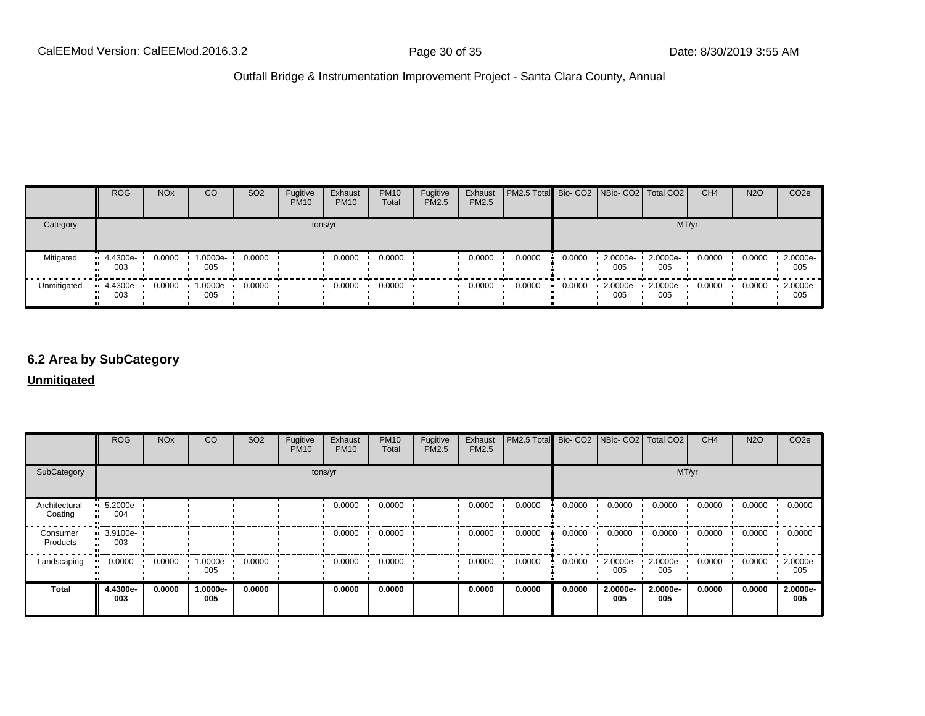|             | <b>ROG</b>                     | <b>NO<sub>x</sub></b> | <sub>CO</sub>      | SO <sub>2</sub> | Fugitive<br><b>PM10</b> | Exhaust<br><b>PM10</b> | <b>PM10</b><br>Total | Fugitive<br>PM2.5 | Exhaust<br>PM2.5 | PM2.5 Total Bio- CO2   NBio- CO2   Total CO2 |        |                                 |                 | CH <sub>4</sub> | <b>N2O</b> | CO <sub>2e</sub>   |
|-------------|--------------------------------|-----------------------|--------------------|-----------------|-------------------------|------------------------|----------------------|-------------------|------------------|----------------------------------------------|--------|---------------------------------|-----------------|-----------------|------------|--------------------|
| Category    |                                |                       |                    |                 | tons/yr                 |                        |                      |                   |                  |                                              |        |                                 |                 | MT/yr           |            |                    |
| Mitigated   | $\blacksquare$ 4.4300e-<br>003 | 0.0000                | $1.0000e -$<br>005 | 0.0000          |                         | 0.0000                 | 0.0000               |                   | 0.0000           | 0.0000                                       | 0.0000 | $\cdot$ 2.0000e- $\cdot$<br>005 | 2.0000e-<br>005 | 0.0000          | 0.0000     | 2.0000e-<br>005    |
| Unmitigated | $-4.4300e-$<br>003             | 0.0000                | $1.0000e -$<br>005 | 0.0000          |                         | 0.0000                 | 0.0000               |                   | 0.0000           | 0.0000                                       | 0.0000 | $\cdot$ 2.0000e- $\cdot$<br>005 | 2.0000e-<br>005 | 0.0000          | 0.0000     | $-2.0000e-$<br>005 |

# **6.2 Area by SubCategory**

**Unmitigated**

|                          | <b>ROG</b>                     | <b>NO<sub>x</sub></b> | CO              | SO <sub>2</sub> | Fugitive<br><b>PM10</b> | Exhaust<br><b>PM10</b> | <b>PM10</b><br>Total | Fugitive<br><b>PM2.5</b> | Exhaust<br>PM2.5 | PM2.5 Total Bio- CO2 NBio- CO2 Total CO2 |        |                 |                 | CH <sub>4</sub> | <b>N2O</b> | CO <sub>2</sub> e |
|--------------------------|--------------------------------|-----------------------|-----------------|-----------------|-------------------------|------------------------|----------------------|--------------------------|------------------|------------------------------------------|--------|-----------------|-----------------|-----------------|------------|-------------------|
| SubCategory              | tons/yr                        |                       |                 |                 |                         | MT/yr                  |                      |                          |                  |                                          |        |                 |                 |                 |            |                   |
| Architectural<br>Coating | 5.2000e-<br><br><br>004        |                       |                 |                 |                         | 0.0000                 | 0.0000               |                          | 0.0000           | 0.0000                                   | 0.0000 | 0.0000          | 0.0000          | 0.0000          | 0.0000     | 0.0000            |
| Consumer<br>Products     | $\blacksquare$ 3.9100e-<br>003 |                       |                 |                 |                         | 0.0000                 | 0.0000               |                          | 0.0000           | 0.0000                                   | 0.0000 | 0.0000          | 0.0000          | 0.0000          | 0.0000     | 0.0000            |
| Landscaping              | 0.0000<br>$\mathbf{u}$         | 0.0000                | 1.0000e-<br>005 | 0.0000          |                         | 0.0000                 | 0.0000               |                          | 0.0000           | 0.0000                                   | 0.0000 | 2.0000e-<br>005 | 2.0000e-<br>005 | 0.0000          | 0.0000     | 2.0000e-<br>005   |
| <b>Total</b>             | 4.4300e-<br>003                | 0.0000                | 1.0000e-<br>005 | 0.0000          |                         | 0.0000                 | 0.0000               |                          | 0.0000           | 0.0000                                   | 0.0000 | 2.0000e-<br>005 | 2.0000e-<br>005 | 0.0000          | 0.0000     | 2.0000e-<br>005   |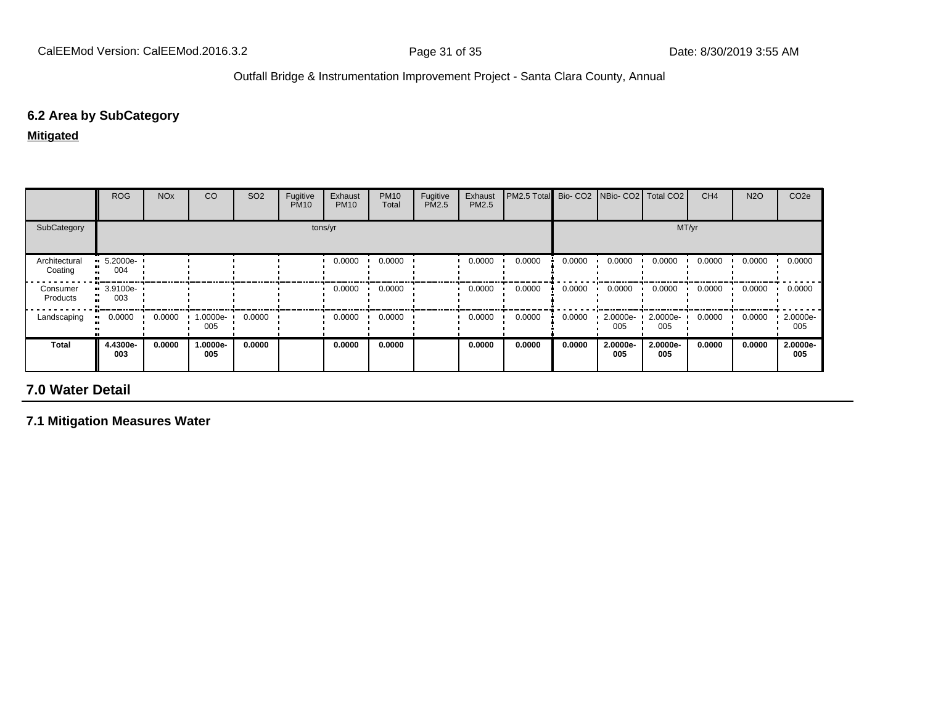#### **6.2 Area by SubCategory**

**Mitigated**

|                          | <b>ROG</b>                         | <b>NO<sub>x</sub></b> | CO              | SO <sub>2</sub> | Fugitive<br><b>PM10</b> | Exhaust<br><b>PM10</b> | <b>PM10</b><br>Total | Fugitive<br>PM2.5 | Exhaust<br><b>PM2.5</b> | PM2.5 Total Bio- CO2 NBio- CO2 Total CO2 |        |                 |                 | CH <sub>4</sub> | <b>N2O</b> | CO <sub>2e</sub> |
|--------------------------|------------------------------------|-----------------------|-----------------|-----------------|-------------------------|------------------------|----------------------|-------------------|-------------------------|------------------------------------------|--------|-----------------|-----------------|-----------------|------------|------------------|
| SubCategory              | tons/yr                            |                       |                 |                 |                         |                        |                      | MT/yr             |                         |                                          |        |                 |                 |                 |            |                  |
| Architectural<br>Coating | $\blacksquare$ 5.2000e-<br><br>004 |                       |                 |                 |                         | 0.0000                 | 0.0000               |                   | 0.0000                  | 0.0000                                   | 0.0000 | 0.0000          | 0.0000          | 0.0000          | 0.0000     | 0.0000           |
| Consumer<br>Products     | $-3.9100e-$<br>003                 |                       |                 |                 |                         | 0.0000                 | 0.0000               |                   | 0.0000                  | 0.0000                                   | 0.0000 | 0.0000          | 0.0000          | 0.0000          | 0.0000     | 0.0000           |
| Landscaping              | 0.0000                             | 0.0000                | 1.0000e-<br>005 | 0.0000          |                         | 0.0000                 | 0.0000               |                   | 0.0000                  | 0.0000                                   | 0.0000 | 2.0000e-<br>005 | 2.0000e-<br>005 | 0.0000          | 0.0000     | 2.0000e-<br>005  |
| Total                    | 4.4300e-<br>003                    | 0.0000                | 1.0000e-<br>005 | 0.0000          |                         | 0.0000                 | 0.0000               |                   | 0.0000                  | 0.0000                                   | 0.0000 | 2.0000e-<br>005 | 2.0000e-<br>005 | 0.0000          | 0.0000     | 2.0000e-<br>005  |

# **7.0 Water Detail**

**7.1 Mitigation Measures Water**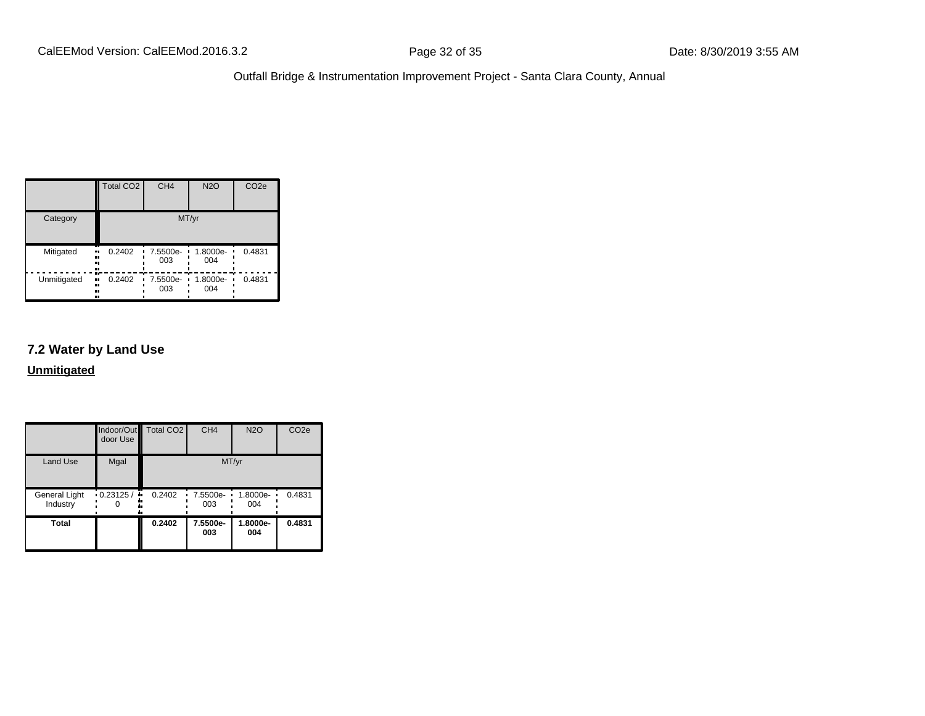|             | <b>Total CO2</b>          | CH <sub>4</sub> | <b>N2O</b>      | CO <sub>2e</sub> |
|-------------|---------------------------|-----------------|-----------------|------------------|
| Category    |                           |                 | MT/yr           |                  |
| Mitigated   | 0.2402<br>.,<br><br><br>о | 7.5500e-<br>003 | 1.8000e-<br>004 | 0.4831           |
| Unmitigated | 0.2402<br><br><br><br>    | 7.5500e-<br>003 | 1.8000e-<br>004 | 0.4831           |

#### **7.2 Water by Land Use**

**Unmitigated**

|                           | door Use | Indoor/Out Total CO2 | CH <sub>4</sub>   | <b>N2O</b>      | CO <sub>2e</sub> |
|---------------------------|----------|----------------------|-------------------|-----------------|------------------|
| <b>Land Use</b>           | Mgal     |                      |                   | MT/yr           |                  |
| General Light<br>Industry | 0.23125/ | 0.2402<br>۰.         | 7.5500e- ·<br>003 | 1.8000e-<br>004 | 0.4831           |
| Total                     |          | 0.2402               | 7.5500e-<br>003   | 1.8000e-<br>004 | 0.4831           |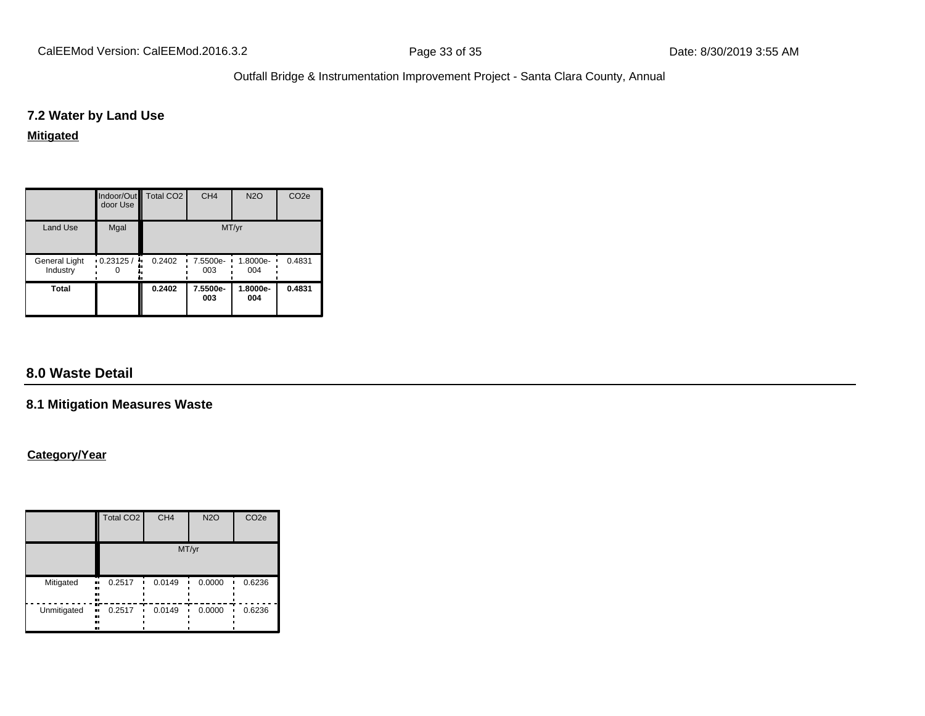#### **7.2 Water by Land Use**

#### **Mitigated**

|                           | door Use                  | Indoor/Out Total CO2 | CH <sub>4</sub>         | <b>N2O</b>      | CO <sub>2e</sub> |
|---------------------------|---------------------------|----------------------|-------------------------|-----------------|------------------|
| <b>Land Use</b>           | Mgal                      |                      |                         | MT/yr           |                  |
| General Light<br>Industry | $\cdot$ 0.23125 / $\cdot$ | 0.2402               | $\cdot$ 7.5500e-<br>003 | 1.8000e-<br>004 | 0.4831           |
| Total                     |                           | 0.2402               | 7.5500e-<br>003         | 1.8000e-<br>004 | 0.4831           |

# **8.0 Waste Detail**

#### **8.1 Mitigation Measures Waste**

#### **Category/Year**

|             | <b>Total CO2</b>             | CH <sub>4</sub> | <b>N2O</b> | CO <sub>2e</sub> |  |  |
|-------------|------------------------------|-----------------|------------|------------------|--|--|
|             | MT/yr                        |                 |            |                  |  |  |
| Mitigated   | 0.2517<br>.,<br><br>n<br>    | 0.0149          | 0.0000     | 0.6236           |  |  |
| Unmitigated | m<br>0.2517<br><br><br>ш<br> | 0.0149          | 0.0000     | 0.6236           |  |  |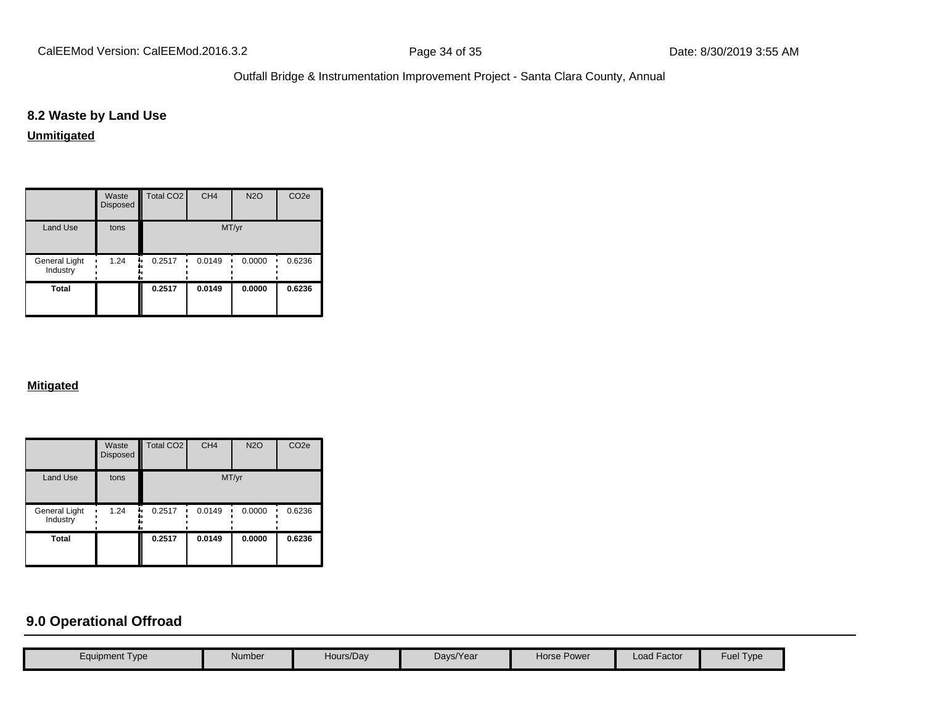# **8.2 Waste by Land Use**

# **Unmitigated**

|                           | Waste<br>Disposed | Total CO <sub>2</sub> | CH <sub>4</sub> | <b>N2O</b> | CO <sub>2e</sub> |
|---------------------------|-------------------|-----------------------|-----------------|------------|------------------|
| <b>Land Use</b>           | tons              |                       | MT/yr           |            |                  |
| General Light<br>Industry | 1.24              | 0.2517<br>            | 0.0149          | 0.0000     | 0.6236           |
| <b>Total</b>              |                   | 0.2517                | 0.0149          | 0.0000     | 0.6236           |

#### **Mitigated**

|                           | Waste<br>Disposed | Total CO <sub>2</sub> | CH <sub>4</sub> | <b>N2O</b> | CO <sub>2e</sub> |
|---------------------------|-------------------|-----------------------|-----------------|------------|------------------|
| <b>Land Use</b>           | tons              |                       | MT/yr           |            |                  |
| General Light<br>Industry | 1.24<br>٠.        | 0.2517<br>٠           | 0.0149          | 0.0000     | 0.6236           |
| <b>Total</b>              |                   | 0.2517                | 0.0149          | 0.0000     | 0.6236           |

# **9.0 Operational Offroad**

| Equipment Type | Number | Hours/Day | Days/Year | Horse Power | <b>Load Factor</b> | Fuel Type |
|----------------|--------|-----------|-----------|-------------|--------------------|-----------|